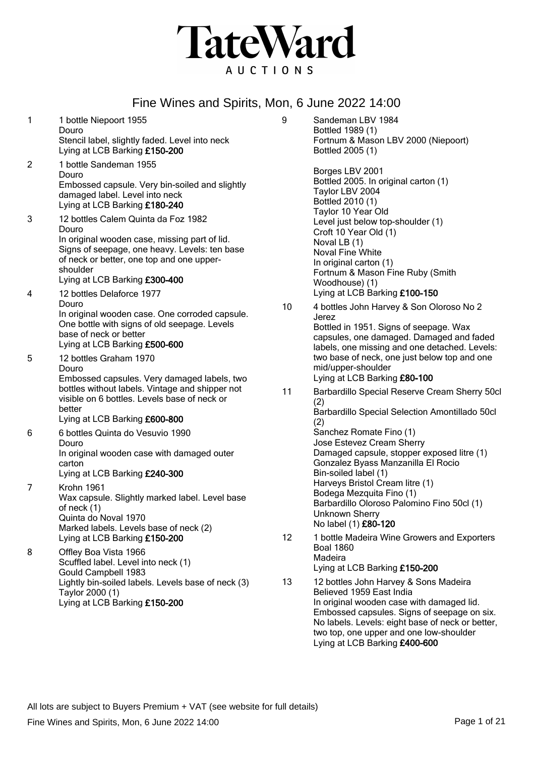

| 1              | 1 bottle Niepoort 1955<br>Douro<br>Stencil label, slightly faded. Level into neck<br>Lying at LCB Barking £150-200                                                                                                                       | 9  | Sandeman LBV 1984<br>Bottled 1989 (1)<br>Fortnum & Mason LBV 2000 (Niepoort)<br>Bottled 2005 (1)                                                                                                                          |
|----------------|------------------------------------------------------------------------------------------------------------------------------------------------------------------------------------------------------------------------------------------|----|---------------------------------------------------------------------------------------------------------------------------------------------------------------------------------------------------------------------------|
| $\overline{2}$ | 1 bottle Sandeman 1955<br>Douro<br>Embossed capsule. Very bin-soiled and slightly<br>damaged label. Level into neck<br>Lying at LCB Barking £180-240                                                                                     |    | Borges LBV 2001<br>Bottled 2005. In original carton (1)<br>Taylor LBV 2004<br>Bottled 2010 (1)                                                                                                                            |
| 3              | 12 bottles Calem Quinta da Foz 1982<br>Douro<br>In original wooden case, missing part of lid.<br>Signs of seepage, one heavy. Levels: ten base<br>of neck or better, one top and one upper-<br>shoulder<br>Lying at LCB Barking £300-400 |    | Taylor 10 Year Old<br>Level just below top-shoulder (1)<br>Croft 10 Year Old (1)<br>Noval LB (1)<br>Noval Fine White<br>In original carton (1)<br>Fortnum & Mason Fine Ruby (Smith<br>Woodhouse) (1)                      |
| 4              | 12 bottles Delaforce 1977<br>Douro<br>In original wooden case. One corroded capsule.<br>One bottle with signs of old seepage. Levels<br>base of neck or better<br>Lying at LCB Barking £500-600                                          | 10 | Lying at LCB Barking £100-150<br>4 bottles John Harvey & Son Oloroso No 2<br>Jerez<br>Bottled in 1951. Signs of seepage. Wax<br>capsules, one damaged. Damaged and faded<br>labels, one missing and one detached. Levels: |
| 5              | 12 bottles Graham 1970<br>Douro<br>Embossed capsules. Very damaged labels, two                                                                                                                                                           |    | two base of neck, one just below top and one<br>mid/upper-shoulder<br>Lying at LCB Barking £80-100                                                                                                                        |
|                | bottles without labels. Vintage and shipper not<br>visible on 6 bottles. Levels base of neck or<br>better<br>Lying at LCB Barking £600-800                                                                                               | 11 | Barbardillo Special Reserve Cream Sherry 50cl<br>(2)<br>Barbardillo Special Selection Amontillado 50cl<br>(2)                                                                                                             |
| 6              | 6 bottles Quinta do Vesuvio 1990<br>Douro<br>In original wooden case with damaged outer<br>carton<br>Lying at LCB Barking £240-300                                                                                                       |    | Sanchez Romate Fino (1)<br>Jose Estevez Cream Sherry<br>Damaged capsule, stopper exposed litre (1)<br>Gonzalez Byass Manzanilla El Rocio<br>Bin-soiled label (1)                                                          |
| $\overline{7}$ | Krohn 1961<br>Wax capsule. Slightly marked label. Level base<br>of neck (1)<br>Quinta do Noval 1970<br>Marked labels. Levels base of neck (2)                                                                                            |    | Harveys Bristol Cream litre (1)<br>Bodega Mezquita Fino (1)<br>Barbardillo Oloroso Palomino Fino 50cl (1)<br>Unknown Sherry<br>No label (1) £80-120                                                                       |
| 8              | Lying at LCB Barking £150-200<br>Offley Boa Vista 1966<br>Scuffled label. Level into neck (1)<br>Gould Campbell 1983                                                                                                                     | 12 | 1 bottle Madeira Wine Growers and Exporters<br><b>Boal 1860</b><br>Madeira<br>Lying at LCB Barking £150-200                                                                                                               |
|                | Lightly bin-soiled labels. Levels base of neck (3)<br>Taylor 2000 (1)<br>Lying at LCB Barking £150-200                                                                                                                                   | 13 | 12 bottles John Harvey & Sons Madeira<br>Believed 1959 East India<br>In original wooden case with damaged lid.<br>Embossed capsules. Signs of seepage on six.<br>No labels. Levels: eight base of neck or better,         |

two top, one upper and one low-shoulder

Lying at LCB Barking £400-600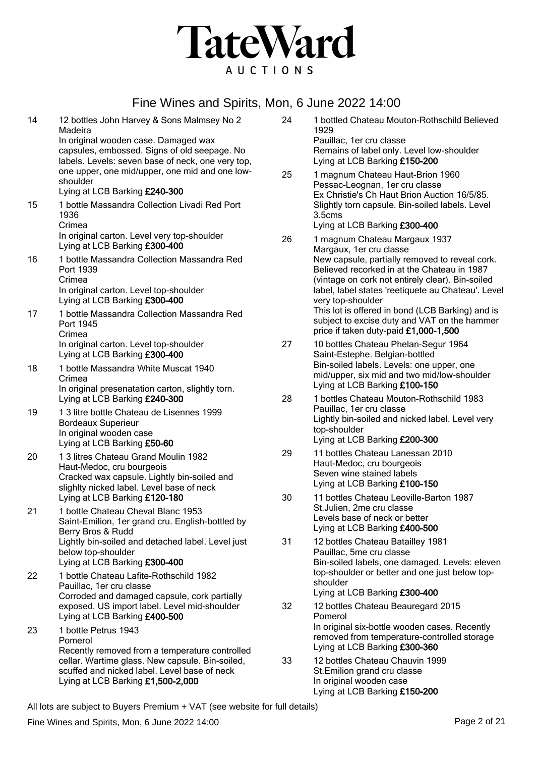

| 14 | 12 bottles John Harvey & Sons Malmsey No 2<br>Madeira                                               |
|----|-----------------------------------------------------------------------------------------------------|
|    | In original wooden case. Damaged wax                                                                |
|    | capsules, embossed. Signs of old seepage. No                                                        |
|    | labels. Levels: seven base of neck, one very top,<br>one upper, one mid/upper, one mid and one low- |
|    | shoulder                                                                                            |
|    | Lying at LCB Barking £240-300                                                                       |
| 15 | 1 bottle Massandra Collection Livadi Red Port<br>1936                                               |
|    | Crimea                                                                                              |
|    | In original carton. Level very top-shoulder                                                         |
|    | Lying at LCB Barking £300-400                                                                       |
| 16 | 1 bottle Massandra Collection Massandra Red                                                         |
|    | Port 1939                                                                                           |
|    | Crimea<br>In original carton. Level top-shoulder                                                    |
|    | Lying at LCB Barking £300-400                                                                       |
| 17 | 1 bottle Massandra Collection Massandra Red                                                         |
|    | Port 1945                                                                                           |
|    | Crimea<br>In original carton. Level top-shoulder                                                    |
|    | Lying at LCB Barking £300-400                                                                       |
| 18 | 1 bottle Massandra White Muscat 1940                                                                |
|    | Crimea                                                                                              |
|    | In original presenatation carton, slightly torn.<br>Lying at LCB Barking £240-300                   |
| 19 | 13 litre bottle Chateau de Lisennes 1999                                                            |
|    | <b>Bordeaux Superieur</b>                                                                           |
|    | In original wooden case                                                                             |
|    | Lying at LCB Barking £50-60                                                                         |
| 20 | 13 litres Chateau Grand Moulin 1982                                                                 |
|    | Haut-Medoc, cru bourgeois<br>Cracked wax capsule. Lightly bin-soiled and                            |
|    | slighlty nicked label. Level base of neck                                                           |
|    | Lying at LCB Barking £120-180                                                                       |
| 21 | 1 bottle Chateau Cheval Blanc 1953                                                                  |
|    | Saint-Emilion, 1er grand cru. English-bottled by<br>Berry Bros & Rudd                               |
|    | Lightly bin-soiled and detached label. Level just                                                   |
|    | below top-shoulder                                                                                  |
|    | Lying at LCB Barking £300-400                                                                       |
| 22 | 1 bottle Chateau Lafite-Rothschild 1982                                                             |
|    | Pauillac, 1er cru classe<br>Corroded and damaged capsule, cork partially                            |
|    | exposed. US import label. Level mid-shoulder                                                        |
|    | Lying at LCB Barking £400-500                                                                       |
| 23 | 1 bottle Petrus 1943                                                                                |
|    | Pomerol                                                                                             |
|    | Recently removed from a temperature controlled<br>cellar. Wartime glass. New capsule. Bin-soiled,   |
|    | scuffed and nicked label. Level base of neck                                                        |
|    | Lying at LCB Barking £1,500-2,000                                                                   |
|    |                                                                                                     |

| 24 | 1 bottled Chateau Mouton-Rothschild Believed<br>1929                                                   |
|----|--------------------------------------------------------------------------------------------------------|
|    | Pauillac, 1er cru classe<br>Remains of label only. Level low-shoulder<br>Lying at LCB Barking £150-200 |
| 25 | 1 magnum Chateau Haut-Brion 1960<br>Desses Leagues, 1sr any closes                                     |

Pessac-Leognan, 1er cru classe Ex Christie's Ch Haut Brion Auction 16/5/85. Slightly torn capsule. Bin-soiled labels. Level 3.5cms Lying at LCB Barking £300-400

- 26 1 magnum Chateau Margaux 1937 Margaux, 1er cru classe New capsule, partially removed to reveal cork. Believed recorked in at the Chateau in 1987 (vintage on cork not entirely clear). Bin-soiled label, label states 'reetiquete au Chateau'. Level very top-shoulder This lot is offered in bond (LCB Barking) and is subject to excise duty and VAT on the hammer price if taken duty-paid £1,000-1,500
- 27 10 bottles Chateau Phelan-Segur 1964 Saint-Estephe. Belgian-bottled Bin-soiled labels. Levels: one upper, one mid/upper, six mid and two mid/low-shoulder Lying at LCB Barking £100-150
- 28 1 bottles Chateau Mouton-Rothschild 1983 Pauillac, 1er cru classe Lightly bin-soiled and nicked label. Level very top-shoulder Lying at LCB Barking £200-300
- 29 11 bottles Chateau Lanessan 2010 Haut-Medoc, cru bourgeois Seven wine stained labels Lying at LCB Barking £100-150
- 30 11 bottles Chateau Leoville-Barton 1987 St.Julien, 2me cru classe Levels base of neck or better Lying at LCB Barking £400-500
- 31 12 bottles Chateau Batailley 1981 Pauillac, 5me cru classe Bin-soiled labels, one damaged. Levels: eleven top-shoulder or better and one just below topshoulder Lying at LCB Barking £300-400
- 32 12 bottles Chateau Beauregard 2015 Pomerol In original six-bottle wooden cases. Recently removed from temperature-controlled storage Lying at LCB Barking £300-360
- 33 12 bottles Chateau Chauvin 1999 St.Emilion grand cru classe In original wooden case Lying at LCB Barking £150-200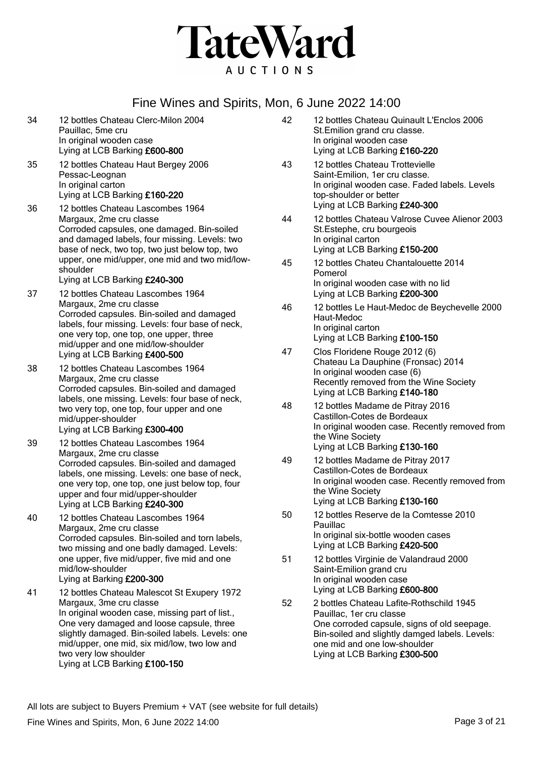

| 34 | 12 bottles Chateau Clerc-Milon 2004<br>Pauillac, 5me cru<br>In original wooden case<br>Lying at LCB Barking £600-800                                                                                                                                                                                                                 | 42 | 12 bottles Chateau Quinault L'Enclos 2006<br>St. Emilion grand cru classe.<br>In original wooden case<br>Lying at LCB Barking £160-220                                                                                                                                  |
|----|--------------------------------------------------------------------------------------------------------------------------------------------------------------------------------------------------------------------------------------------------------------------------------------------------------------------------------------|----|-------------------------------------------------------------------------------------------------------------------------------------------------------------------------------------------------------------------------------------------------------------------------|
| 35 | 12 bottles Chateau Haut Bergey 2006<br>Pessac-Leognan<br>In original carton<br>Lying at LCB Barking £160-220                                                                                                                                                                                                                         | 43 | 12 bottles Chateau Trottevielle<br>Saint-Emilion, 1er cru classe.<br>In original wooden case. Faded labels. Levels<br>top-shoulder or better                                                                                                                            |
| 36 | 12 bottles Chateau Lascombes 1964<br>Margaux, 2me cru classe<br>Corroded capsules, one damaged. Bin-soiled<br>and damaged labels, four missing. Levels: two<br>base of neck, two top, two just below top, two                                                                                                                        | 44 | Lying at LCB Barking £240-300<br>12 bottles Chateau Valrose Cuvee Alienor 2003<br>St.Estephe, cru bourgeois<br>In original carton<br>Lying at LCB Barking £150-200                                                                                                      |
|    | upper, one mid/upper, one mid and two mid/low-<br>shoulder<br>Lying at LCB Barking £240-300                                                                                                                                                                                                                                          | 45 | 12 bottles Chateu Chantalouette 2014<br>Pomerol<br>In original wooden case with no lid                                                                                                                                                                                  |
| 37 | 12 bottles Chateau Lascombes 1964<br>Margaux, 2me cru classe<br>Corroded capsules. Bin-soiled and damaged<br>labels, four missing. Levels: four base of neck,<br>one very top, one top, one upper, three                                                                                                                             | 46 | Lying at LCB Barking £200-300<br>12 bottles Le Haut-Medoc de Beychevelle 2000<br>Haut-Medoc<br>In original carton<br>Lying at LCB Barking £100-150                                                                                                                      |
| 38 | mid/upper and one mid/low-shoulder<br>Lying at LCB Barking £400-500<br>12 bottles Chateau Lascombes 1964                                                                                                                                                                                                                             | 47 | Clos Floridene Rouge 2012 (6)<br>Chateau La Dauphine (Fronsac) 2014<br>In original wooden case (6)                                                                                                                                                                      |
|    | Margaux, 2me cru classe<br>Corroded capsules. Bin-soiled and damaged<br>labels, one missing. Levels: four base of neck,                                                                                                                                                                                                              |    | Recently removed from the Wine Society<br>Lying at LCB Barking £140-180                                                                                                                                                                                                 |
| 39 | two very top, one top, four upper and one<br>mid/upper-shoulder<br>Lying at LCB Barking £300-400<br>12 bottles Chateau Lascombes 1964                                                                                                                                                                                                | 48 | 12 bottles Madame de Pitray 2016<br>Castillon-Cotes de Bordeaux<br>In original wooden case. Recently removed from<br>the Wine Society                                                                                                                                   |
|    | Margaux, 2me cru classe<br>Corroded capsules. Bin-soiled and damaged<br>labels, one missing. Levels: one base of neck,<br>one very top, one top, one just below top, four<br>upper and four mid/upper-shoulder<br>Lying at LCB Barking £240-300                                                                                      | 49 | Lying at LCB Barking £130-160<br>12 bottles Madame de Pitray 2017<br>Castillon-Cotes de Bordeaux<br>In original wooden case. Recently removed from<br>the Wine Society<br>Lying at LCB Barking £130-160                                                                 |
| 40 | 12 bottles Chateau Lascombes 1964<br>Margaux, 2me cru classe<br>Corroded capsules. Bin-soiled and torn labels,<br>two missing and one badly damaged. Levels:                                                                                                                                                                         | 50 | 12 bottles Reserve de la Comtesse 2010<br>Pauillac<br>In original six-bottle wooden cases<br>Lying at LCB Barking £420-500                                                                                                                                              |
|    | one upper, five mid/upper, five mid and one<br>mid/low-shoulder<br>Lying at Barking £200-300                                                                                                                                                                                                                                         | 51 | 12 bottles Virginie de Valandraud 2000<br>Saint-Emilion grand cru<br>In original wooden case                                                                                                                                                                            |
| 41 | 12 bottles Chateau Malescot St Exupery 1972<br>Margaux, 3me cru classe<br>In original wooden case, missing part of list.,<br>One very damaged and loose capsule, three<br>slightly damaged. Bin-soiled labels. Levels: one<br>mid/upper, one mid, six mid/low, two low and<br>two very low shoulder<br>Lying at LCB Barking £100-150 | 52 | Lying at LCB Barking £600-800<br>2 bottles Chateau Lafite-Rothschild 1945<br>Pauillac, 1er cru classe<br>One corroded capsule, signs of old seepage.<br>Bin-soiled and slightly damged labels. Levels:<br>one mid and one low-shoulder<br>Lying at LCB Barking £300-500 |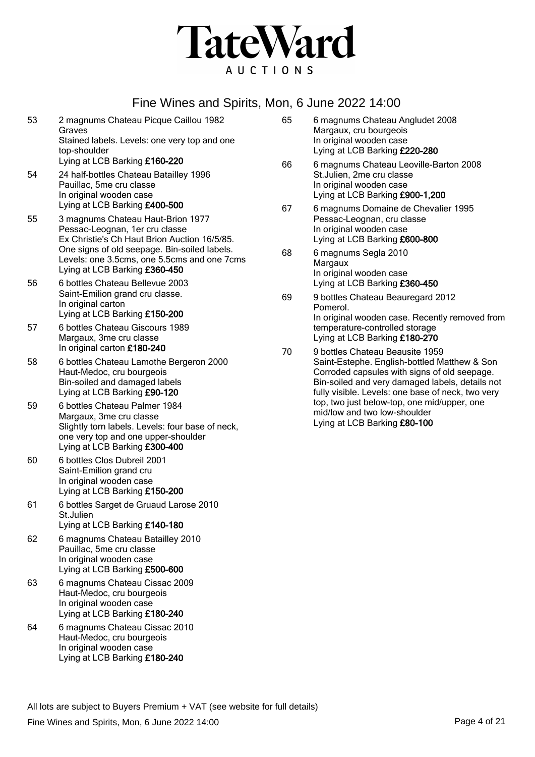

- 53 2 magnums Chateau Picque Caillou 1982 Graves Stained labels. Levels: one very top and one top-shoulder Lying at LCB Barking £160-220
- 54 24 half-bottles Chateau Batailley 1996 Pauillac, 5me cru classe In original wooden case Lying at LCB Barking £400-500
- 55 3 magnums Chateau Haut-Brion 1977 Pessac-Leognan, 1er cru classe Ex Christie's Ch Haut Brion Auction 16/5/85. One signs of old seepage. Bin-soiled labels. Levels: one 3.5cms, one 5.5cms and one 7cms Lying at LCB Barking £360-450
- 56 6 bottles Chateau Bellevue 2003 Saint-Emilion grand cru classe. In original carton Lying at LCB Barking £150-200
- 57 6 bottles Chateau Giscours 1989 Margaux, 3me cru classe In original carton £180-240
- 58 6 bottles Chateau Lamothe Bergeron 2000 Haut-Medoc, cru bourgeois Bin-soiled and damaged labels Lying at LCB Barking £90-120
- 59 6 bottles Chateau Palmer 1984 Margaux, 3me cru classe Slightly torn labels. Levels: four base of neck, one very top and one upper-shoulder Lying at LCB Barking £300-400
- 60 6 bottles Clos Dubreil 2001 Saint-Emilion grand cru In original wooden case Lying at LCB Barking £150-200
- 61 6 bottles Sarget de Gruaud Larose 2010 St.Julien Lying at LCB Barking £140-180
- 62 6 magnums Chateau Batailley 2010 Pauillac, 5me cru classe In original wooden case Lying at LCB Barking £500-600
- 63 6 magnums Chateau Cissac 2009 Haut-Medoc, cru bourgeois In original wooden case Lying at LCB Barking £180-240
- 64 6 magnums Chateau Cissac 2010 Haut-Medoc, cru bourgeois In original wooden case Lying at LCB Barking £180-240
- 65 6 magnums Chateau Angludet 2008 Margaux, cru bourgeois In original wooden case Lying at LCB Barking £220-280 66 6 magnums Chateau Leoville-Barton 2008 St.Julien, 2me cru classe In original wooden case Lying at LCB Barking £900-1,200 67 6 magnums Domaine de Chevalier 1995 Pessac-Leognan, cru classe In original wooden case Lying at LCB Barking £600-800 68 6 magnums Segla 2010 **Margaux** In original wooden case Lying at LCB Barking £360-450
- 69 9 bottles Chateau Beauregard 2012 Pomerol. In original wooden case. Recently removed from temperature-controlled storage Lying at LCB Barking £180-270
- 70 9 bottles Chateau Beausite 1959 Saint-Estephe. English-bottled Matthew & Son Corroded capsules with signs of old seepage. Bin-soiled and very damaged labels, details not fully visible. Levels: one base of neck, two very top, two just below-top, one mid/upper, one mid/low and two low-shoulder Lying at LCB Barking £80-100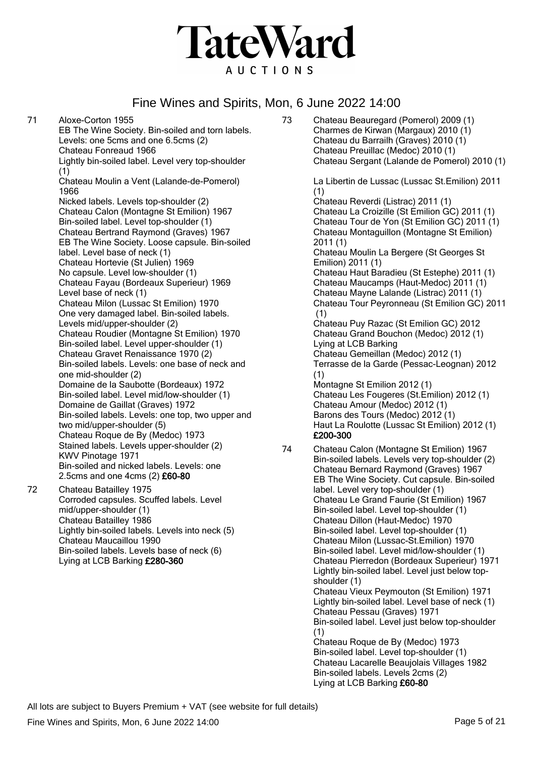

71 Aloxe-Corton 1955 EB The Wine Society. Bin-soiled and torn labels. Levels: one 5cms and one 6.5cms (2) Chateau Fonreaud 1966 Lightly bin-soiled label. Level very top-shoulder (1) Chateau Moulin a Vent (Lalande-de-Pomerol) 1966 Nicked labels. Levels top-shoulder (2) Chateau Calon (Montagne St Emilion) 1967 Bin-soiled label. Level top-shoulder (1) Chateau Bertrand Raymond (Graves) 1967 EB The Wine Society. Loose capsule. Bin-soiled label. Level base of neck (1) Chateau Hortevie (St Julien) 1969 No capsule. Level low-shoulder (1) Chateau Fayau (Bordeaux Superieur) 1969 Level base of neck (1) Chateau Milon (Lussac St Emilion) 1970 One very damaged label. Bin-soiled labels. Levels mid/upper-shoulder (2) Chateau Roudier (Montagne St Emilion) 1970 Bin-soiled label. Level upper-shoulder (1) Chateau Gravet Renaissance 1970 (2) Bin-soiled labels. Levels: one base of neck and one mid-shoulder (2) Domaine de la Saubotte (Bordeaux) 1972 Bin-soiled label. Level mid/low-shoulder (1) Domaine de Gaillat (Graves) 1972 Bin-soiled labels. Levels: one top, two upper and two mid/upper-shoulder (5) Chateau Roque de By (Medoc) 1973 Stained labels. Levels upper-shoulder (2) KWV Pinotage 1971 Bin-soiled and nicked labels. Levels: one 2.5cms and one 4cms (2) £60-80 72 Chateau Batailley 1975 Corroded capsules. Scuffed labels. Level mid/upper-shoulder (1) Chateau Batailley 1986 Lightly bin-soiled labels. Levels into neck (5)

- Chateau Maucaillou 1990 Bin-soiled labels. Levels base of neck (6) Lying at LCB Barking £280-360
- 73 Chateau Beauregard (Pomerol) 2009 (1) Charmes de Kirwan (Margaux) 2010 (1) Chateau du Barrailh (Graves) 2010 (1) Chateau Preuillac (Medoc) 2010 (1) Chateau Sergant (Lalande de Pomerol) 2010 (1) La Libertin de Lussac (Lussac St.Emilion) 2011 (1) Chateau Reverdi (Listrac) 2011 (1) Chateau La Croizille (St Emilion GC) 2011 (1) Chateau Tour de Yon (St Emilion GC) 2011 (1) Chateau Montaguillon (Montagne St Emilion) 2011 (1) Chateau Moulin La Bergere (St Georges St Emilion) 2011 (1) Chateau Haut Baradieu (St Estephe) 2011 (1) Chateau Maucamps (Haut-Medoc) 2011 (1) Chateau Mayne Lalande (Listrac) 2011 (1) Chateau Tour Peyronneau (St Emilion GC) 2011 (1) Chateau Puy Razac (St Emilion GC) 2012 Chateau Grand Bouchon (Medoc) 2012 (1) Lying at LCB Barking Chateau Gemeillan (Medoc) 2012 (1) Terrasse de la Garde (Pessac-Leognan) 2012 (1) Montagne St Emilion 2012 (1) Chateau Les Fougeres (St.Emilion) 2012 (1) Chateau Amour (Medoc) 2012 (1) Barons des Tours (Medoc) 2012 (1) Haut La Roulotte (Lussac St Emilion) 2012 (1) £200-300 74 Chateau Calon (Montagne St Emilion) 1967
- Bin-soiled labels. Levels very top-shoulder (2) Chateau Bernard Raymond (Graves) 1967 EB The Wine Society. Cut capsule. Bin-soiled label. Level very top-shoulder (1) Chateau Le Grand Faurie (St Emilion) 1967 Bin-soiled label. Level top-shoulder (1) Chateau Dillon (Haut-Medoc) 1970 Bin-soiled label. Level top-shoulder (1) Chateau Milon (Lussac-St.Emilion) 1970 Bin-soiled label. Level mid/low-shoulder (1) Chateau Pierredon (Bordeaux Superieur) 1971 Lightly bin-soiled label. Level just below topshoulder (1) Chateau Vieux Peymouton (St Emilion) 1971 Lightly bin-soiled label. Level base of neck (1) Chateau Pessau (Graves) 1971 Bin-soiled label. Level just below top-shoulder (1) Chateau Roque de By (Medoc) 1973 Bin-soiled label. Level top-shoulder (1) Chateau Lacarelle Beaujolais Villages 1982 Bin-soiled labels. Levels 2cms (2) Lying at LCB Barking £60-80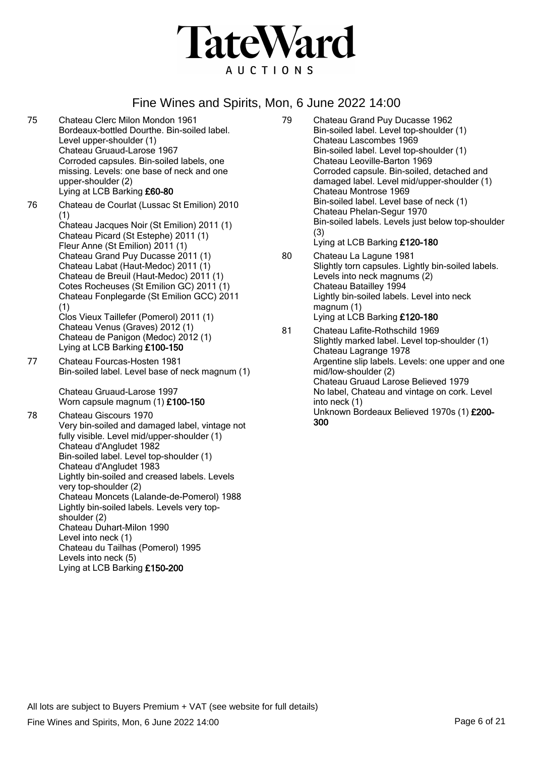

- 75 Chateau Clerc Milon Mondon 1961 Bordeaux-bottled Dourthe. Bin-soiled label. Level upper-shoulder (1) Chateau Gruaud-Larose 1967 Corroded capsules. Bin-soiled labels, one missing. Levels: one base of neck and one upper-shoulder (2) Lying at LCB Barking £60-80
- 76 Chateau de Courlat (Lussac St Emilion) 2010 (1) Chateau Jacques Noir (St Emilion) 2011 (1) Chateau Picard (St Estephe) 2011 (1) Fleur Anne (St Emilion) 2011 (1) Chateau Grand Puy Ducasse 2011 (1) Chateau Labat (Haut-Medoc) 2011 (1) Chateau de Breuil (Haut-Medoc) 2011 (1) Cotes Rocheuses (St Emilion GC) 2011 (1) Chateau Fonplegarde (St Emilion GCC) 2011 (1) Clos Vieux Taillefer (Pomerol) 2011 (1) Chateau Venus (Graves) 2012 (1) Chateau de Panigon (Medoc) 2012 (1) Lying at LCB Barking £100-150 77 Chateau Fourcas-Hosten 1981 Bin-soiled label. Level base of neck magnum (1)

Chateau Gruaud-Larose 1997 Worn capsule magnum (1) £100-150

78 Chateau Giscours 1970 Very bin-soiled and damaged label, vintage not fully visible. Level mid/upper-shoulder (1) Chateau d'Angludet 1982 Bin-soiled label. Level top-shoulder (1) Chateau d'Angludet 1983 Lightly bin-soiled and creased labels. Levels very top-shoulder (2) Chateau Moncets (Lalande-de-Pomerol) 1988 Lightly bin-soiled labels. Levels very topshoulder (2) Chateau Duhart-Milon 1990 Level into neck (1) Chateau du Tailhas (Pomerol) 1995 Levels into neck (5) Lying at LCB Barking £150-200

- 79 Chateau Grand Puy Ducasse 1962 Bin-soiled label. Level top-shoulder (1) Chateau Lascombes 1969 Bin-soiled label. Level top-shoulder (1) Chateau Leoville-Barton 1969 Corroded capsule. Bin-soiled, detached and damaged label. Level mid/upper-shoulder (1) Chateau Montrose 1969 Bin-soiled label. Level base of neck (1) Chateau Phelan-Segur 1970 Bin-soiled labels. Levels just below top-shoulder (3) Lying at LCB Barking £120-180
- 80 Chateau La Lagune 1981 Slightly torn capsules. Lightly bin-soiled labels. Levels into neck magnums (2) Chateau Batailley 1994 Lightly bin-soiled labels. Level into neck magnum (1) Lying at LCB Barking £120-180
- 81 Chateau Lafite-Rothschild 1969 Slightly marked label. Level top-shoulder (1) Chateau Lagrange 1978 Argentine slip labels. Levels: one upper and one mid/low-shoulder (2) Chateau Gruaud Larose Believed 1979 No label, Chateau and vintage on cork. Level into neck (1) Unknown Bordeaux Believed 1970s (1) £200- 300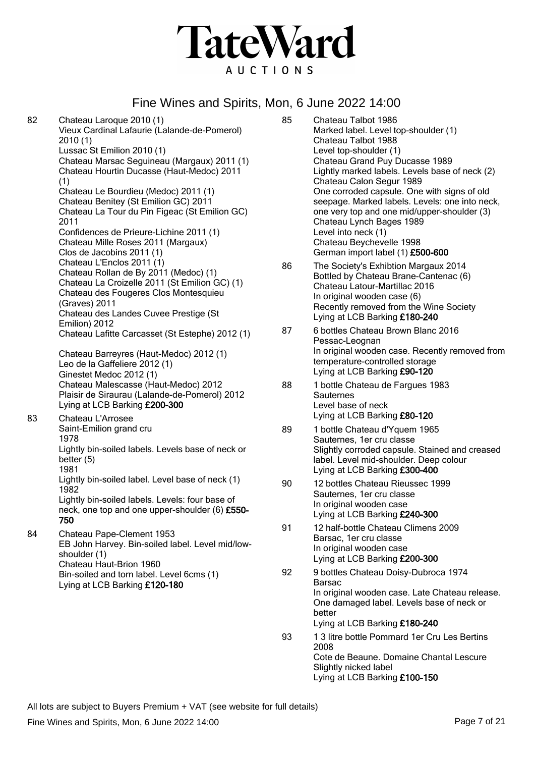

82 Chateau Laroque 2010 (1) Vieux Cardinal Lafaurie (Lalande-de-Pomerol) 2010 (1) Lussac St Emilion 2010 (1) Chateau Marsac Seguineau (Margaux) 2011 (1) Chateau Hourtin Ducasse (Haut-Medoc) 2011 (1) Chateau Le Bourdieu (Medoc) 2011 (1) Chateau Benitey (St Emilion GC) 2011 Chateau La Tour du Pin Figeac (St Emilion GC) 2011 Confidences de Prieure-Lichine 2011 (1) Chateau Mille Roses 2011 (Margaux) Clos de Jacobins 2011 (1) Chateau L'Enclos 2011 (1) Chateau Rollan de By 2011 (Medoc) (1) Chateau La Croizelle 2011 (St Emilion GC) (1) Chateau des Fougeres Clos Montesquieu (Graves) 2011 Chateau des Landes Cuvee Prestige (St Emilion) 2012 Chateau Lafitte Carcasset (St Estephe) 2012 (1) Chateau Barreyres (Haut-Medoc) 2012 (1) Leo de la Gaffeliere 2012 (1) Ginestet Medoc 2012 (1) Chateau Malescasse (Haut-Medoc) 2012 Plaisir de Siraurau (Lalande-de-Pomerol) 2012 Lying at LCB Barking £200-300 83 Chateau L'Arrosee Saint-Emilion grand cru 1978 Lightly bin-soiled labels. Levels base of neck or better (5) 1981 Lightly bin-soiled label. Level base of neck (1) 1982 Lightly bin-soiled labels. Levels: four base of neck, one top and one upper-shoulder (6) £550- 750 84 Chateau Pape-Clement 1953 EB John Harvey. Bin-soiled label. Level mid/lowshoulder (1) Chateau Haut-Brion 1960 Bin-soiled and torn label. Level 6cms (1) Lying at LCB Barking £120-180

- 85 Chateau Talbot 1986 Marked label. Level top-shoulder (1) Chateau Talbot 1988 Level top-shoulder (1) Chateau Grand Puy Ducasse 1989 Lightly marked labels. Levels base of neck (2) Chateau Calon Segur 1989 One corroded capsule. One with signs of old seepage. Marked labels. Levels: one into neck, one very top and one mid/upper-shoulder (3) Chateau Lynch Bages 1989 Level into neck (1) Chateau Beychevelle 1998 German import label (1) £500-600
- 86 The Society's Exhibtion Margaux 2014 Bottled by Chateau Brane-Cantenac (6) Chateau Latour-Martillac 2016 In original wooden case (6) Recently removed from the Wine Society Lying at LCB Barking £180-240
- 87 6 bottles Chateau Brown Blanc 2016 Pessac-Leognan In original wooden case. Recently removed from temperature-controlled storage Lying at LCB Barking £90-120
- 88 1 bottle Chateau de Fargues 1983 **Sauternes** Level base of neck Lying at LCB Barking £80-120
- 89 1 bottle Chateau d'Yquem 1965 Sauternes, 1er cru classe Slightly corroded capsule. Stained and creased label. Level mid-shoulder. Deep colour Lying at LCB Barking £300-400
- 90 12 bottles Chateau Rieussec 1999 Sauternes, 1er cru classe In original wooden case Lying at LCB Barking £240-300
- 91 12 half-bottle Chateau Climens 2009 Barsac, 1er cru classe In original wooden case Lying at LCB Barking £200-300
- 92 9 bottles Chateau Doisy-Dubroca 1974 Barsac In original wooden case. Late Chateau release. One damaged label. Levels base of neck or better Lying at LCB Barking £180-240
- 93 1 3 litre bottle Pommard 1er Cru Les Bertins 2008 Cote de Beaune. Domaine Chantal Lescure Slightly nicked label Lying at LCB Barking £100-150

All lots are subject to Buyers Premium + VAT (see website for full details)

Fine Wines and Spirits, Mon, 6 June 2022 14:00 **Page 7 of 21** Page 7 of 21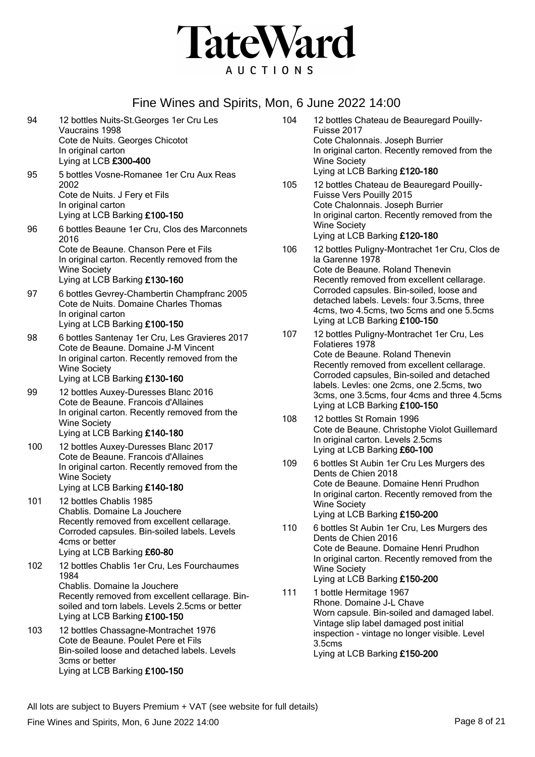

94 12 bottles Nuits-St.Georges 1er Cru Les Vaucrains 1998 Cote de Nuits. Georges Chicotot In original carton Lying at LCB £300-400 95 5 bottles Vosne-Romanee 1er Cru Aux Reas 2002 Cote de Nuits. J Fery et Fils In original carton Lying at LCB Barking £100-150 96 6 bottles Beaune 1er Cru, Clos des Marconnets 2016 Cote de Beaune. Chanson Pere et Fils In original carton. Recently removed from the Wine Society Lying at LCB Barking £130-160 97 6 bottles Gevrey-Chambertin Champfranc 2005 Cote de Nuits. Domaine Charles Thomas In original carton Lying at LCB Barking £100-150 98 6 bottles Santenay 1er Cru, Les Gravieres 2017 Cote de Beaune. Domaine J-M Vincent In original carton. Recently removed from the Wine Society Lying at LCB Barking £130-160 99 12 bottles Auxey-Duresses Blanc 2016 Cote de Beaune. Francois d'Allaines In original carton. Recently removed from the Wine Society Lying at LCB Barking £140-180 100 12 bottles Auxey-Duresses Blanc 2017 Cote de Beaune. Francois d'Allaines In original carton. Recently removed from the Wine Society Lying at LCB Barking £140-180 101 12 bottles Chablis 1985 Chablis. Domaine La Jouchere Recently removed from excellent cellarage. Corroded capsules. Bin-soiled labels. Levels 4cms or better Lying at LCB Barking £60-80 102 12 bottles Chablis 1er Cru, Les Fourchaumes 1984 Chablis. Domaine la Jouchere Recently removed from excellent cellarage. Binsoiled and torn labels. Levels 2.5cms or better Lying at LCB Barking £100-150 103 12 bottles Chassagne-Montrachet 1976 Cote de Beaune. Poulet Pere et Fils Bin-soiled loose and detached labels. Levels 3cms or better Lying at LCB Barking £100-150

- 104 12 bottles Chateau de Beauregard Pouilly-Fuisse 2017 Cote Chalonnais. Joseph Burrier In original carton. Recently removed from the Wine Society Lying at LCB Barking £120-180
- 105 12 bottles Chateau de Beauregard Pouilly-Fuisse Vers Pouilly 2015 Cote Chalonnais. Joseph Burrier In original carton. Recently removed from the Wine Society Lying at LCB Barking £120-180
- 106 12 bottles Puligny-Montrachet 1er Cru, Clos de la Garenne 1978 Cote de Beaune. Roland Thenevin Recently removed from excellent cellarage. Corroded capsules. Bin-soiled, loose and detached labels. Levels: four 3.5cms, three 4cms, two 4.5cms, two 5cms and one 5.5cms Lying at LCB Barking £100-150
- 107 12 bottles Puligny-Montrachet 1er Cru, Les Folatieres 1978 Cote de Beaune. Roland Thenevin Recently removed from excellent cellarage. Corroded capsules, Bin-soiled and detached labels. Levles: one 2cms, one 2.5cms, two 3cms, one 3.5cms, four 4cms and three 4.5cms Lying at LCB Barking £100-150
- 108 12 bottles St Romain 1996 Cote de Beaune. Christophe Violot Guillemard In original carton. Levels 2.5cms Lying at LCB Barking £60-100
- 109 6 bottles St Aubin 1er Cru Les Murgers des Dents de Chien 2018 Cote de Beaune. Domaine Henri Prudhon In original carton. Recently removed from the Wine Society Lying at LCB Barking £150-200
- 110 6 bottles St Aubin 1er Cru, Les Murgers des Dents de Chien 2016 Cote de Beaune. Domaine Henri Prudhon In original carton. Recently removed from the Wine Society Lying at LCB Barking £150-200
- 111 1 bottle Hermitage 1967 Rhone. Domaine J-L Chave Worn capsule. Bin-soiled and damaged label. Vintage slip label damaged post initial inspection - vintage no longer visible. Level 3.5cms Lying at LCB Barking £150-200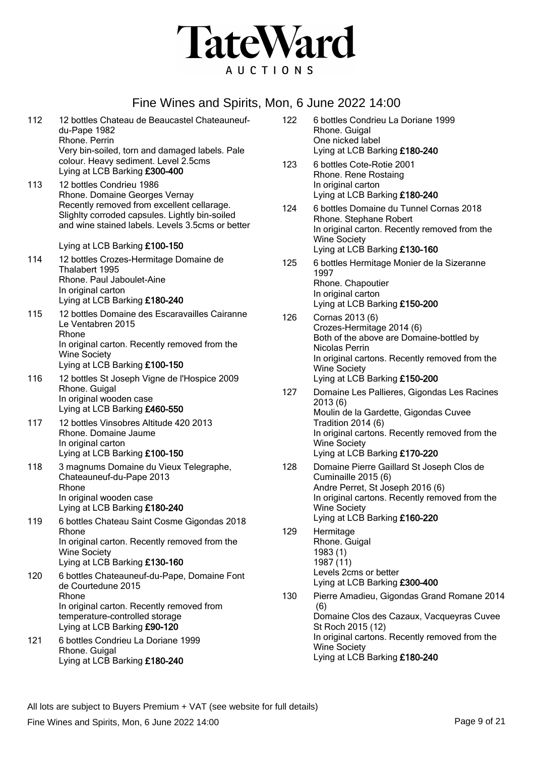

| 112 | 12 bottles Chateau de Beaucastel Chateauneuf-<br>du-Pape 1982<br>Rhone, Perrin                                                                                                                                | 122 |
|-----|---------------------------------------------------------------------------------------------------------------------------------------------------------------------------------------------------------------|-----|
|     | Very bin-soiled, torn and damaged labels. Pale<br>colour. Heavy sediment. Level 2.5cms<br>Lying at LCB Barking £300-400                                                                                       | 123 |
| 113 | 12 bottles Condrieu 1986<br>Rhone. Domaine Georges Vernay<br>Recently removed from excellent cellarage.<br>Slighlty corroded capsules. Lightly bin-soiled<br>and wine stained labels. Levels 3.5cms or better | 124 |
|     | Lying at LCB Barking £100-150                                                                                                                                                                                 |     |
| 114 | 12 bottles Crozes-Hermitage Domaine de<br>Thalabert 1995<br>Rhone. Paul Jaboulet-Aine<br>In original carton<br>Lying at LCB Barking £180-240                                                                  | 125 |
| 115 | 12 bottles Domaine des Escaravailles Cairanne<br>Le Ventabren 2015<br>Rhone<br>In original carton. Recently removed from the<br><b>Wine Society</b><br>Lying at LCB Barking £100-150                          | 126 |
| 116 | 12 bottles St Joseph Vigne de l'Hospice 2009<br>Rhone. Guigal<br>In original wooden case<br>Lying at LCB Barking £460-550                                                                                     | 127 |
| 117 | 12 bottles Vinsobres Altitude 420 2013<br>Rhone. Domaine Jaume<br>In original carton<br>Lying at LCB Barking £100-150                                                                                         |     |
| 118 | 3 magnums Domaine du Vieux Telegraphe,<br>Chateauneuf-du-Pape 2013<br>Rhone<br>In original wooden case<br>Lying at LCB Barking £180-240                                                                       | 128 |
| 119 | 6 bottles Chateau Saint Cosme Gigondas 2018<br>Rhone<br>In original carton. Recently removed from the<br><b>Wine Society</b><br>Lying at LCB Barking £130-160                                                 | 129 |
| 120 | 6 bottles Chateauneuf-du-Pape, Domaine Font<br>de Courtedune 2015<br>Rhone<br>In original carton. Recently removed from<br>temperature-controlled storage<br>Lying at LCB Barking £90-120                     | 130 |
| 121 | 6 bottles Condrieu La Doriane 1999<br>Rhone. Guigal<br>Lying at LCB Barking £180-240                                                                                                                          |     |

| 122 | 6 bottles Condrieu La Doriane 1999<br>Rhone. Guigal<br>One nicked label<br>Lying at LCB Barking £180-240                                                                                                                                |
|-----|-----------------------------------------------------------------------------------------------------------------------------------------------------------------------------------------------------------------------------------------|
| 123 | 6 bottles Cote-Rotie 2001<br>Rhone. Rene Rostaing<br>In original carton<br>Lying at LCB Barking £180-240                                                                                                                                |
| 124 | 6 bottles Domaine du Tunnel Cornas 2018<br>Rhone. Stephane Robert<br>In original carton. Recently removed from the<br><b>Wine Society</b><br>Lying at LCB Barking £130-160                                                              |
| 125 | 6 bottles Hermitage Monier de la Sizeranne<br>1997<br>Rhone. Chapoutier<br>In original carton<br>Lying at LCB Barking £150-200                                                                                                          |
| 126 | Cornas 2013 (6)<br>Crozes-Hermitage 2014 (6)<br>Both of the above are Domaine-bottled by<br>Nicolas Perrin<br>In original cartons. Recently removed from the<br><b>Wine Society</b><br>Lying at LCB Barking £150-200                    |
| 127 | Domaine Les Pallieres, Gigondas Les Racines<br>2013 (6)<br>Moulin de la Gardette, Gigondas Cuvee<br><b>Tradition 2014 (6)</b><br>In original cartons. Recently removed from the<br><b>Wine Society</b><br>Lying at LCB Barking £170-220 |
| 128 | Domaine Pierre Gaillard St Joseph Clos de<br>Cuminaille 2015 (6)<br>Andre Perret, St Joseph 2016 (6)<br>In original cartons. Recently removed from the<br><b>Wine Society</b><br>Lying at LCB Barking £160-220                          |
| 129 | Hermitage<br>Rhone. Guigal<br>1983 (1)<br>1987 (11)<br>Levels 2cms or better<br>Lying at LCB Barking £300-400                                                                                                                           |
| 130 | Pierre Amadieu, Gigondas Grand Romane 2014<br>(6)<br>Domaine Clos des Cazaux, Vacqueyras Cuvee<br>St Roch 2015 (12)<br>In original cartons. Recently removed from the<br><b>Wine Society</b><br>Lying at LCB Barking £180-240           |

Fine Wines and Spirits, Mon, 6 June 2022 14:00 **Page 9 of 21** Page 9 of 21 All lots are subject to Buyers Premium + VAT (see website for full details)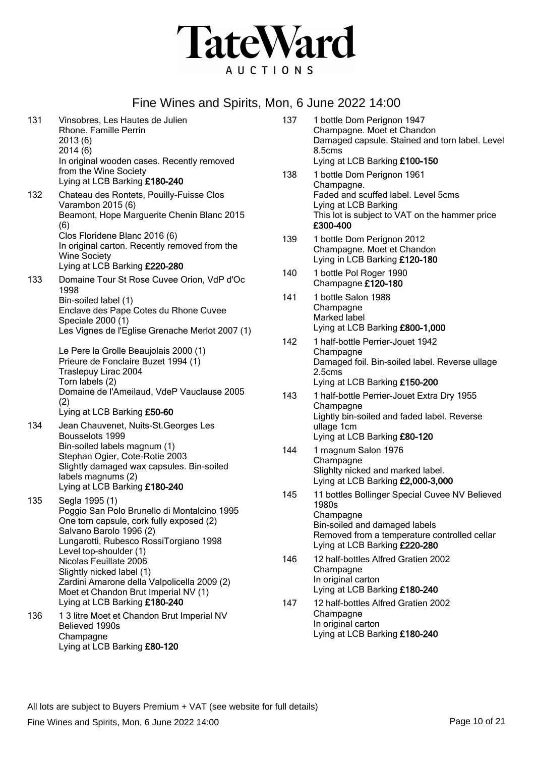

- 131 Vinsobres, Les Hautes de Julien Rhone. Famille Perrin 2013 (6) 2014 (6) In original wooden cases. Recently removed from the Wine Society Lying at LCB Barking £180-240 132 Chateau des Rontets, Pouilly-Fuisse Clos Varambon 2015 (6) Beamont, Hope Marguerite Chenin Blanc 2015 (6) Clos Floridene Blanc 2016 (6) In original carton. Recently removed from the Wine Society Lying at LCB Barking £220-280 133 Domaine Tour St Rose Cuvee Orion, VdP d'Oc 1998 Bin-soiled label (1) Enclave des Pape Cotes du Rhone Cuvee Speciale 2000 (1) Les Vignes de l'Eglise Grenache Merlot 2007 (1) Le Pere la Grolle Beaujolais 2000 (1) Prieure de Fonclaire Buzet 1994 (1) Traslepuy Lirac 2004 Torn labels (2) Domaine de l'Ameilaud, VdeP Vauclause 2005 (2) Lying at LCB Barking £50-60 134 Jean Chauvenet, Nuits-St.Georges Les Bousselots 1999 Bin-soiled labels magnum (1) Stephan Ogier, Cote-Rotie 2003 Slightly damaged wax capsules. Bin-soiled labels magnums (2) Lying at LCB Barking £180-240 135 Segla 1995 (1) Poggio San Polo Brunello di Montalcino 1995 One torn capsule, cork fully exposed (2) Salvano Barolo 1996 (2) Lungarotti, Rubesco RossiTorgiano 1998 Level top-shoulder (1) Nicolas Feuillate 2006 Slightly nicked label (1) Zardini Amarone della Valpolicella 2009 (2) Moet et Chandon Brut Imperial NV (1) Lying at LCB Barking £180-240 136 1 3 litre Moet et Chandon Brut Imperial NV Believed 1990s
	- **Champagne** Lying at LCB Barking £80-120
- 137 1 bottle Dom Perignon 1947 Champagne. Moet et Chandon Damaged capsule. Stained and torn label. Level 8.5cms Lying at LCB Barking £100-150
- 138 1 bottle Dom Perignon 1961 Champagne. Faded and scuffed label. Level 5cms Lying at LCB Barking This lot is subject to VAT on the hammer price £300-400
- 139 1 bottle Dom Perignon 2012 Champagne. Moet et Chandon Lying in LCB Barking £120-180
- 140 1 bottle Pol Roger 1990 Champagne £120-180
- 141 1 bottle Salon 1988 **Champagne** Marked label Lying at LCB Barking £800-1,000
- 142 1 half-bottle Perrier-Jouet 1942 **Champagne** Damaged foil. Bin-soiled label. Reverse ullage 2.5cms Lying at LCB Barking £150-200
- 143 1 half-bottle Perrier-Jouet Extra Dry 1955 **Champagne** Lightly bin-soiled and faded label. Reverse ullage 1cm Lying at LCB Barking £80-120
- 144 1 magnum Salon 1976 **Champagne** Slighlty nicked and marked label. Lying at LCB Barking £2,000-3,000
- 145 11 bottles Bollinger Special Cuvee NV Believed 1980s **Champagne** Bin-soiled and damaged labels Removed from a temperature controlled cellar Lying at LCB Barking £220-280
- 146 12 half-bottles Alfred Gratien 2002 **Champagne** In original carton Lying at LCB Barking £180-240
- 147 12 half-bottles Alfred Gratien 2002 **Champagne** In original carton Lying at LCB Barking £180-240

Fine Wines and Spirits, Mon, 6 June 2022 14:00 **Page 10** of 21 All lots are subject to Buyers Premium + VAT (see website for full details)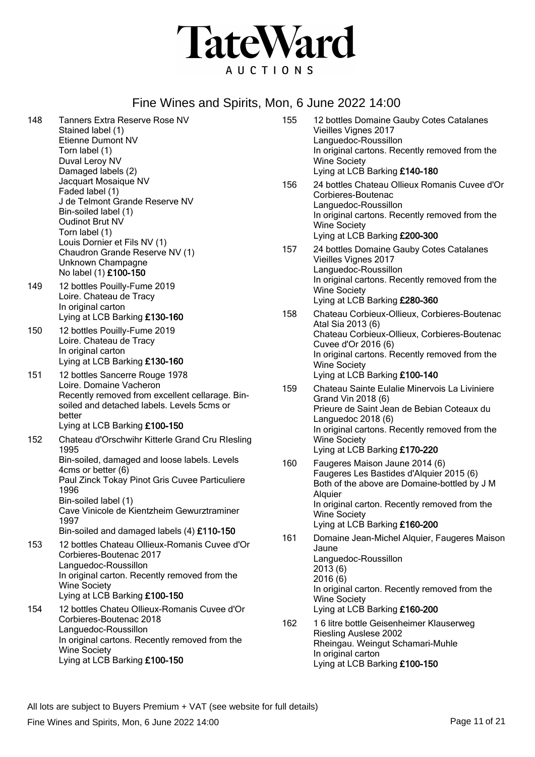

| 148 | <b>Tanners Extra Reserve Rose NV</b><br>Stained label (1)<br>Etienne Dumont NV<br>Torn label (1)<br>Duval Leroy NV<br>Damaged labels (2)                                                                                                                 | 155        | 12 bottles Domaine Gauby Cotes Catalanes<br>Vieilles Vignes 2017<br>Languedoc-Roussillon<br>In original cartons. Recently removed from the<br><b>Wine Society</b><br>Lying at LCB Barking £140-180                                                                                             |
|-----|----------------------------------------------------------------------------------------------------------------------------------------------------------------------------------------------------------------------------------------------------------|------------|------------------------------------------------------------------------------------------------------------------------------------------------------------------------------------------------------------------------------------------------------------------------------------------------|
|     | Jacquart Mosaique NV<br>Faded label (1)<br>J de Telmont Grande Reserve NV<br>Bin-soiled label (1)<br><b>Oudinot Brut NV</b><br>Torn label (1)<br>Louis Dornier et Fils NV (1)                                                                            | 156        | 24 bottles Chateau Ollieux Romanis Cuvee d'Or<br>Corbieres-Boutenac<br>Languedoc-Roussillon<br>In original cartons. Recently removed from the<br><b>Wine Society</b><br>Lying at LCB Barking £200-300                                                                                          |
| 149 | Chaudron Grande Reserve NV (1)<br>Unknown Champagne<br>No label (1) £100-150<br>12 bottles Pouilly-Fume 2019                                                                                                                                             | 157        | 24 bottles Domaine Gauby Cotes Catalanes<br>Vieilles Vignes 2017<br>Languedoc-Roussillon<br>In original cartons. Recently removed from the                                                                                                                                                     |
|     | Loire. Chateau de Tracy<br>In original carton<br>Lying at LCB Barking £130-160                                                                                                                                                                           | 158        | <b>Wine Society</b><br>Lying at LCB Barking £280-360<br>Chateau Corbieux-Ollieux, Corbieres-Boutenac                                                                                                                                                                                           |
| 150 | 12 bottles Pouilly-Fume 2019<br>Loire. Chateau de Tracy<br>In original carton<br>Lying at LCB Barking £130-160                                                                                                                                           |            | Atal Sia 2013 (6)<br>Chateau Corbieux-Ollieux, Corbieres-Boutenac<br>Cuvee d'Or 2016 (6)<br>In original cartons. Recently removed from the<br><b>Wine Society</b>                                                                                                                              |
| 151 | 12 bottles Sancerre Rouge 1978<br>Loire. Domaine Vacheron<br>Recently removed from excellent cellarage. Bin-<br>soiled and detached labels. Levels 5cms or<br>better<br>Lying at LCB Barking £100-150                                                    | 159        | Lying at LCB Barking £100-140<br>Chateau Sainte Eulalie Minervois La Liviniere<br>Grand Vin 2018 (6)<br>Prieure de Saint Jean de Bebian Coteaux du<br>Languedoc 2018 (6)<br>In original cartons. Recently removed from the                                                                     |
| 152 | Chateau d'Orschwihr Kitterle Grand Cru Rlesling<br>1995                                                                                                                                                                                                  |            | <b>Wine Society</b><br>Lying at LCB Barking £170-220                                                                                                                                                                                                                                           |
|     | Bin-soiled, damaged and loose labels. Levels<br>4cms or better (6)<br>Paul Zinck Tokay Pinot Gris Cuvee Particuliere<br>1996<br>Bin-soiled label (1)<br>Cave Vinicole de Kientzheim Gewurztraminer<br>1997<br>Bin-soiled and damaged labels (4) £110-150 | 160<br>161 | Faugeres Maison Jaune 2014 (6)<br>Faugeres Les Bastides d'Alquier 2015 (6)<br>Both of the above are Domaine-bottled by J M<br>Alquier<br>In original carton. Recently removed from the<br><b>Wine Society</b><br>Lying at LCB Barking £160-200<br>Domaine Jean-Michel Alquier, Faugeres Maison |
| 153 | 12 bottles Chateau Ollieux-Romanis Cuvee d'Or<br>Corbieres-Boutenac 2017<br>Languedoc-Roussillon<br>In original carton. Recently removed from the<br><b>Wine Society</b><br>Lying at LCB Barking £100-150                                                |            | Jaune<br>Languedoc-Roussillon<br>2013(6)<br>2016(6)<br>In original carton. Recently removed from the<br><b>Wine Society</b>                                                                                                                                                                    |
| 154 | 12 bottles Chateu Ollieux-Romanis Cuvee d'Or<br>Corbieres-Boutenac 2018<br>Languedoc-Roussillon<br>In original cartons. Recently removed from the<br><b>Wine Society</b><br>Lying at LCB Barking £100-150                                                | 162        | Lying at LCB Barking £160-200<br>16 litre bottle Geisenheimer Klauserweg<br><b>Riesling Auslese 2002</b><br>Rheingau. Weingut Schamari-Muhle<br>In original carton<br>Lying at LCB Barking £100-150                                                                                            |

All lots are subject to Buyers Premium + VAT (see website for full details)

Fine Wines and Spirits, Mon, 6 June 2022 14:00 **Page 11** of 21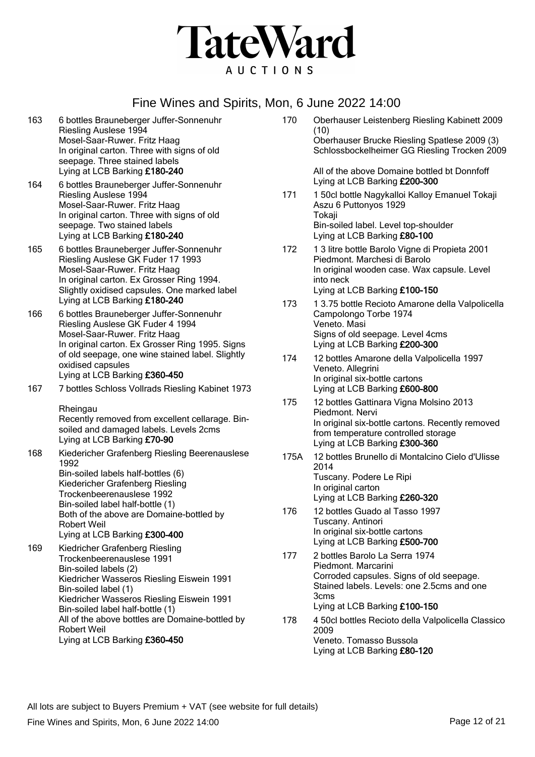

- 163 6 bottles Brauneberger Juffer-Sonnenuhr Riesling Auslese 1994 Mosel-Saar-Ruwer. Fritz Haag In original carton. Three with signs of old seepage. Three stained labels Lying at LCB Barking £180-240
- 164 6 bottles Brauneberger Juffer-Sonnenuhr Riesling Auslese 1994 Mosel-Saar-Ruwer. Fritz Haag In original carton. Three with signs of old seepage. Two stained labels Lying at LCB Barking £180-240
- 165 6 bottles Brauneberger Juffer-Sonnenuhr Riesling Auslese GK Fuder 17 1993 Mosel-Saar-Ruwer. Fritz Haag In original carton. Ex Grosser Ring 1994. Slightly oxidised capsules. One marked label Lying at LCB Barking £180-240
- 166 6 bottles Brauneberger Juffer-Sonnenuhr Riesling Auslese GK Fuder 4 1994 Mosel-Saar-Ruwer. Fritz Haag In original carton. Ex Grosser Ring 1995. Signs of old seepage, one wine stained label. Slightly oxidised capsules Lying at LCB Barking £360-450
- 167 7 bottles Schloss Vollrads Riesling Kabinet 1973

**Rheingau** Recently removed from excellent cellarage. Binsoiled and damaged labels. Levels 2cms Lying at LCB Barking £70-90

- 168 Kiedericher Grafenberg Riesling Beerenauslese 1992 Bin-soiled labels half-bottles (6) Kiedericher Grafenberg Riesling Trockenbeerenauslese 1992 Bin-soiled label half-bottle (1) Both of the above are Domaine-bottled by Robert Weil Lying at LCB Barking £300-400
- 169 Kiedricher Grafenberg Riesling Trockenbeerenauslese 1991 Bin-soiled labels (2) Kiedricher Wasseros Riesling Eiswein 1991 Bin-soiled label (1) Kiedricher Wasseros Riesling Eiswein 1991 Bin-soiled label half-bottle (1) All of the above bottles are Domaine-bottled by Robert Weil Lying at LCB Barking £360-450
- 170 Oberhauser Leistenberg Riesling Kabinett 2009 (10) Oberhauser Brucke Riesling Spatlese 2009 (3) Schlossbockelheimer GG Riesling Trocken 2009 All of the above Domaine bottled bt Donnfoff Lying at LCB Barking £200-300 171 1 50cl bottle Nagykalloi Kalloy Emanuel Tokaji
- Aszu 6 Puttonyos 1929 **Tokaji** Bin-soiled label. Level top-shoulder Lying at LCB Barking £80-100
- 172 1 3 litre bottle Barolo Vigne di Propieta 2001 Piedmont. Marchesi di Barolo In original wooden case. Wax capsule. Level into neck Lying at LCB Barking £100-150
- 173 1 3.75 bottle Recioto Amarone della Valpolicella Campolongo Torbe 1974 Veneto. Masi Signs of old seepage. Level 4cms Lying at LCB Barking £200-300
- 174 12 bottles Amarone della Valpolicella 1997 Veneto. Allegrini In original six-bottle cartons Lying at LCB Barking £600-800
- 175 12 bottles Gattinara Vigna Molsino 2013 Piedmont. Nervi In original six-bottle cartons. Recently removed from temperature controlled storage Lying at LCB Barking £300-360
- 175A 12 bottles Brunello di Montalcino Cielo d'Ulisse 2014 Tuscany. Podere Le Ripi In original carton Lying at LCB Barking £260-320
- 176 12 bottles Guado al Tasso 1997 Tuscany. Antinori In original six-bottle cartons Lying at LCB Barking £500-700
- 177 2 bottles Barolo La Serra 1974 Piedmont. Marcarini Corroded capsules. Signs of old seepage. Stained labels. Levels: one 2.5cms and one 3cms Lying at LCB Barking £100-150
- 178 4 50cl bottles Recioto della Valpolicella Classico 2009 Veneto. Tomasso Bussola Lying at LCB Barking £80-120

Fine Wines and Spirits, Mon, 6 June 2022 14:00 **Page 12 of 21** Page 12 of 21 All lots are subject to Buyers Premium + VAT (see website for full details)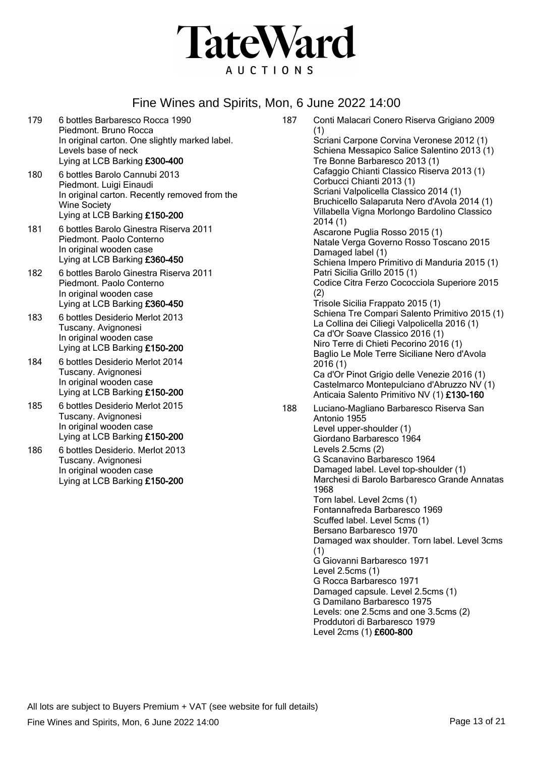

- 179 6 bottles Barbaresco Rocca 1990 Piedmont. Bruno Rocca In original carton. One slightly marked label. Levels base of neck Lying at LCB Barking £300-400
- 180 6 bottles Barolo Cannubi 2013 Piedmont. Luigi Einaudi In original carton. Recently removed from the Wine Society Lying at LCB Barking £150-200
- 181 6 bottles Barolo Ginestra Riserva 2011 Piedmont. Paolo Conterno In original wooden case Lying at LCB Barking £360-450
- 182 6 bottles Barolo Ginestra Riserva 2011 Piedmont. Paolo Conterno In original wooden case Lying at LCB Barking £360-450
- 183 6 bottles Desiderio Merlot 2013 Tuscany. Avignonesi In original wooden case Lying at LCB Barking £150-200
- 184 6 bottles Desiderio Merlot 2014 Tuscany. Avignonesi In original wooden case Lying at LCB Barking £150-200
- 185 6 bottles Desiderio Merlot 2015 Tuscany. Avignonesi In original wooden case Lying at LCB Barking £150-200
- 186 6 bottles Desiderio. Merlot 2013 Tuscany. Avignonesi In original wooden case Lying at LCB Barking £150-200

187 Conti Malacari Conero Riserva Grigiano 2009 (1) Scriani Carpone Corvina Veronese 2012 (1) Schiena Messapico Salice Salentino 2013 (1) Tre Bonne Barbaresco 2013 (1) Cafaggio Chianti Classico Riserva 2013 (1) Corbucci Chianti 2013 (1) Scriani Valpolicella Classico 2014 (1) Bruchicello Salaparuta Nero d'Avola 2014 (1) Villabella Vigna Morlongo Bardolino Classico 2014 (1) Ascarone Puglia Rosso 2015 (1) Natale Verga Governo Rosso Toscano 2015 Damaged label (1) Schiena Impero Primitivo di Manduria 2015 (1) Patri Sicilia Grillo 2015 (1) Codice Citra Ferzo Cococciola Superiore 2015 (2) Trisole Sicilia Frappato 2015 (1) Schiena Tre Compari Salento Primitivo 2015 (1) La Collina dei Ciliegi Valpolicella 2016 (1) Ca d'Or Soave Classico 2016 (1) Niro Terre di Chieti Pecorino 2016 (1) Baglio Le Mole Terre Siciliane Nero d'Avola 2016 (1) Ca d'Or Pinot Grigio delle Venezie 2016 (1) Castelmarco Montepulciano d'Abruzzo NV (1) Anticaia Salento Primitivo NV (1) £130-160 188 Luciano-Magliano Barbaresco Riserva San Antonio 1955 Level upper-shoulder (1) Giordano Barbaresco 1964 Levels 2.5cms (2) G Scanavino Barbaresco 1964 Damaged label. Level top-shoulder (1) Marchesi di Barolo Barbaresco Grande Annatas 1968 Torn label. Level 2cms (1) Fontannafreda Barbaresco 1969 Scuffed label. Level 5cms (1) Bersano Barbaresco 1970 Damaged wax shoulder. Torn label. Level 3cms (1) G Giovanni Barbaresco 1971 Level 2.5cms (1) G Rocca Barbaresco 1971 Damaged capsule. Level 2.5cms (1) G Damilano Barbaresco 1975 Levels: one 2.5cms and one 3.5cms (2) Proddutori di Barbaresco 1979 Level 2cms (1) £600-800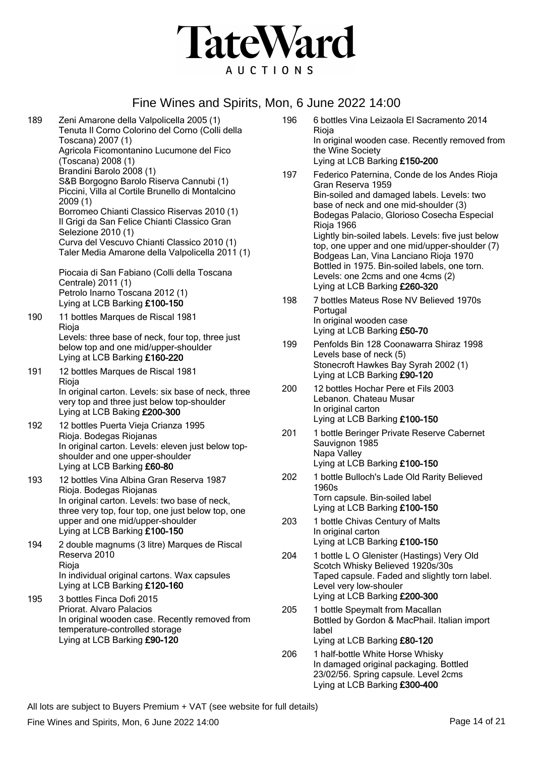

189 Zeni Amarone della Valpolicella 2005 (1) Tenuta Il Corno Colorino del Corno (Colli della Toscana) 2007 (1) Agricola Ficomontanino Lucumone del Fico (Toscana) 2008 (1) Brandini Barolo 2008 (1) S&B Borgogno Barolo Riserva Cannubi (1) Piccini, Villa al Cortile Brunello di Montalcino 2009 (1) Borromeo Chianti Classico Riservas 2010 (1) Il Grigi da San Felice Chianti Classico Gran Selezione 2010 (1) Curva del Vescuvo Chianti Classico 2010 (1) Taler Media Amarone della Valpolicella 2011 (1) Piocaia di San Fabiano (Colli della Toscana Centrale) 2011 (1) Petrolo Inarno Toscana 2012 (1) Lying at LCB Barking £100-150 190 11 bottles Marques de Riscal 1981 Rioja Levels: three base of neck, four top, three just below top and one mid/upper-shoulder Lying at LCB Barking £160-220 191 12 bottles Marques de Riscal 1981 **Rioja** In original carton. Levels: six base of neck, three very top and three just below top-shoulder Lying at LCB Baking £200-300 192 12 bottles Puerta Vieja Crianza 1995 Rioja. Bodegas Riojanas In original carton. Levels: eleven just below topshoulder and one upper-shoulder Lying at LCB Barking £60-80 193 12 bottles Vina Albina Gran Reserva 1987 Rioja. Bodegas Riojanas In original carton. Levels: two base of neck, three very top, four top, one just below top, one upper and one mid/upper-shoulder Lying at LCB Barking £100-150 194 2 double magnums (3 litre) Marques de Riscal Reserva 2010 Rioja In individual original cartons. Wax capsules Lying at LCB Barking £120-160 195 3 bottles Finca Dofi 2015 Priorat. Alvaro Palacios In original wooden case. Recently removed from temperature-controlled storage Lying at LCB Barking £90-120

196 6 bottles Vina Leizaola El Sacramento 2014 Rioja In original wooden case. Recently removed from the Wine Society Lying at LCB Barking £150-200 197 Federico Paternina, Conde de los Andes Rioja Gran Reserva 1959 Bin-soiled and damaged labels. Levels: two base of neck and one mid-shoulder (3) Bodegas Palacio, Glorioso Cosecha Especial Rioja 1966 Lightly bin-soiled labels. Levels: five just below top, one upper and one mid/upper-shoulder (7) Bodgeas Lan, Vina Lanciano Rioja 1970 Bottled in 1975. Bin-soiled labels, one torn. Levels: one 2cms and one 4cms (2) Lying at LCB Barking £260-320 198 7 bottles Mateus Rose NV Believed 1970s Portugal In original wooden case Lying at LCB Barking £50-70 199 Penfolds Bin 128 Coonawarra Shiraz 1998 Levels base of neck (5) Stonecroft Hawkes Bay Syrah 2002 (1) Lying at LCB Barking £90-120 200 12 bottles Hochar Pere et Fils 2003 Lebanon. Chateau Musar In original carton Lying at LCB Barking £100-150 201 1 bottle Beringer Private Reserve Cabernet Sauvignon 1985 Napa Valley Lying at LCB Barking £100-150 202 1 bottle Bulloch's Lade Old Rarity Believed 1960s Torn capsule. Bin-soiled label Lying at LCB Barking £100-150 203 1 bottle Chivas Century of Malts In original carton Lying at LCB Barking £100-150

- 204 1 bottle L O Glenister (Hastings) Very Old Scotch Whisky Believed 1920s/30s Taped capsule. Faded and slightly torn label. Level very low-shouler Lying at LCB Barking £200-300
- 205 1 bottle Speymalt from Macallan Bottled by Gordon & MacPhail. Italian import label Lying at LCB Barking £80-120
- 206 1 half-bottle White Horse Whisky In damaged original packaging. Bottled 23/02/56. Spring capsule. Level 2cms Lying at LCB Barking £300-400

All lots are subject to Buyers Premium + VAT (see website for full details)

Fine Wines and Spirits, Mon, 6 June 2022 14:00 **Page 14 of 21** Page 14 of 21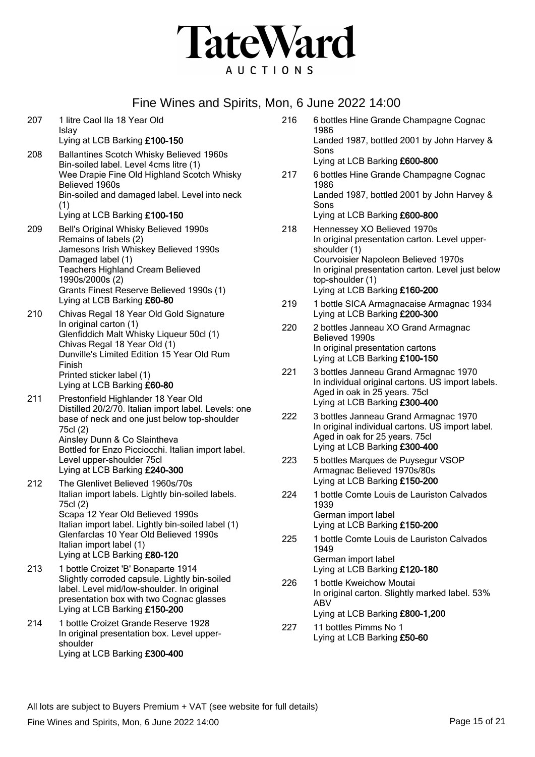

1986

Sons

1986

Sons

shoulder (1)

top-shoulder (1)

Believed 1990s

1939

1949

| 207 | 1 litre Caol Ila 18 Year Old<br>Islay                                                                                                                                                                             | 216 |
|-----|-------------------------------------------------------------------------------------------------------------------------------------------------------------------------------------------------------------------|-----|
|     | Lying at LCB Barking £100-150                                                                                                                                                                                     |     |
| 208 | <b>Ballantines Scotch Whisky Believed 1960s</b><br>Bin-soiled label. Level 4cms litre (1)<br>Wee Drapie Fine Old Highland Scotch Whisky<br>Believed 1960s<br>Bin-soiled and damaged label. Level into neck<br>(1) | 217 |
|     | Lying at LCB Barking £100-150                                                                                                                                                                                     |     |
| 209 | Bell's Original Whisky Believed 1990s<br>Remains of labels (2)<br>Jamesons Irish Whiskey Believed 1990s<br>Damaged label (1)                                                                                      | 218 |
|     | <b>Teachers Highland Cream Believed</b><br>1990s/2000s (2)                                                                                                                                                        |     |
|     | Grants Finest Reserve Believed 1990s (1)<br>Lying at LCB Barking £60-80                                                                                                                                           | 219 |
| 210 | Chivas Regal 18 Year Old Gold Signature<br>In original carton (1)<br>Glenfiddich Malt Whisky Liqueur 50cl (1)<br>Chivas Regal 18 Year Old (1)                                                                     | 220 |
|     | Dunville's Limited Edition 15 Year Old Rum<br>Finish<br>Printed sticker label (1)<br>Lying at LCB Barking £60-80                                                                                                  | 221 |
| 211 | Prestonfield Highlander 18 Year Old<br>Distilled 20/2/70. Italian import label. Levels: one<br>base of neck and one just below top-shoulder<br>75cl (2)                                                           | 222 |
|     | Ainsley Dunn & Co Slaintheva<br>Bottled for Enzo Picciocchi. Italian import label.<br>Level upper-shoulder 75cl<br>Lying at LCB Barking £240-300                                                                  | 223 |
| 212 | The Glenlivet Believed 1960s/70s<br>Italian import labels. Lightly bin-soiled labels.<br>75cl (2)                                                                                                                 | 224 |
|     | Scapa 12 Year Old Believed 1990s<br>Italian import label. Lightly bin-soiled label (1)<br>Glenfarclas 10 Year Old Believed 1990s<br>Italian import label (1)<br>Lying at LCB Barking £80-120                      | 225 |
| 213 | 1 bottle Croizet 'B' Bonaparte 1914<br>Slightly corroded capsule. Lightly bin-soiled<br>label. Level mid/low-shoulder. In original                                                                                | 226 |

In original carton. Slightly marked label. 53% ABV Lying at LCB Barking £800-1,200

6 bottles Hine Grande Champagne Cognac

Landed 1987, bottled 2001 by John Harvey &

6 bottles Hine Grande Champagne Cognac

Landed 1987, bottled 2001 by John Harvey &

In original presentation carton. Level upper-

In original presentation carton. Level just below

1 bottle SICA Armagnacaise Armagnac 1934

2 bottles Janneau XO Grand Armagnac

3 bottles Janneau Grand Armagnac 1970 In individual original cartons. US import labels.

3 bottles Janneau Grand Armagnac 1970 In original individual cartons. US import label.

5 bottles Marques de Puysegur VSOP

1 bottle Comte Louis de Lauriston Calvados

1 bottle Comte Louis de Lauriston Calvados

Courvoisier Napoleon Believed 1970s

Lying at LCB Barking £600-800

Lying at LCB Barking £600-800 Hennessey XO Believed 1970s

Lying at LCB Barking £160-200

Lying at LCB Barking £200-300

In original presentation cartons Lying at LCB Barking £100-150

Aged in oak in 25 years. 75cl Lying at LCB Barking £300-400

Aged in oak for 25 years. 75cl Lying at LCB Barking £300-400

Armagnac Believed 1970s/80s Lying at LCB Barking £150-200

Lying at LCB Barking £150-200

Lying at LCB Barking £120-180 1 bottle Kweichow Moutai

227 11 bottles Pimms No 1 Lying at LCB Barking £50-60

German import label

German import label

All lots are subject to Buyers Premium + VAT (see website for full details)

Fine Wines and Spirits, Mon, 6 June 2022 14:00 **Page 15** of 21

presentation box with two Cognac glasses

In original presentation box. Level upper-

Lying at LCB Barking £150-200 214 1 bottle Croizet Grande Reserve 1928

Lying at LCB Barking £300-400

shoulder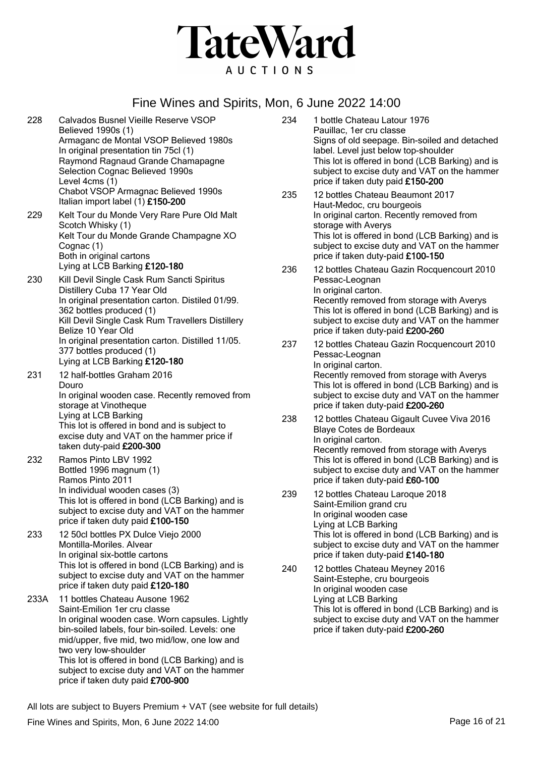

228 Calvados Busnel Vieille Reserve VSOP Believed 1990s (1) Armaganc de Montal VSOP Believed 1980s In original presentation tin 75cl (1) Raymond Ragnaud Grande Chamapagne Selection Cognac Believed 1990s Level 4cms (1) Chabot VSOP Armagnac Believed 1990s Italian import label (1) £150-200

229 Kelt Tour du Monde Very Rare Pure Old Malt Scotch Whisky (1) Kelt Tour du Monde Grande Champagne XO Cognac (1) Both in original cartons Lying at LCB Barking £120-180

- 230 Kill Devil Single Cask Rum Sancti Spiritus Distillery Cuba 17 Year Old In original presentation carton. Distiled 01/99. 362 bottles produced (1) Kill Devil Single Cask Rum Travellers Distillery Belize 10 Year Old In original presentation carton. Distilled 11/05. 377 bottles produced (1) Lying at LCB Barking £120-180
- 231 12 half-bottles Graham 2016 Douro In original wooden case. Recently removed from storage at Vinotheque Lying at LCB Barking This lot is offered in bond and is subject to excise duty and VAT on the hammer price if taken duty-paid £200-300
- 232 Ramos Pinto LBV 1992 Bottled 1996 magnum (1) Ramos Pinto 2011 In individual wooden cases (3) This lot is offered in bond (LCB Barking) and is subject to excise duty and VAT on the hammer price if taken duty paid £100-150
- 233 12 50cl bottles PX Dulce Viejo 2000 Montilla-Moriles. Alvear In original six-bottle cartons This lot is offered in bond (LCB Barking) and is subject to excise duty and VAT on the hammer price if taken duty paid £120-180
- 233A 11 bottles Chateau Ausone 1962 Saint-Emilion 1er cru classe In original wooden case. Worn capsules. Lightly bin-soiled labels, four bin-soiled. Levels: one mid/upper, five mid, two mid/low, one low and two very low-shoulder This lot is offered in bond (LCB Barking) and is subject to excise duty and VAT on the hammer price if taken duty paid £700-900

234 1 bottle Chateau Latour 1976 Pauillac, 1er cru classe Signs of old seepage. Bin-soiled and detached label. Level just below top-shoulder This lot is offered in bond (LCB Barking) and is subject to excise duty and VAT on the hammer price if taken duty paid £150-200

- 235 12 bottles Chateau Beaumont 2017 Haut-Medoc, cru bourgeois In original carton. Recently removed from storage with Averys This lot is offered in bond (LCB Barking) and is subject to excise duty and VAT on the hammer price if taken duty-paid £100-150
- 236 12 bottles Chateau Gazin Rocquencourt 2010 Pessac-Leognan In original carton. Recently removed from storage with Averys This lot is offered in bond (LCB Barking) and is subject to excise duty and VAT on the hammer price if taken duty-paid £200-260
- 237 12 bottles Chateau Gazin Rocquencourt 2010 Pessac-Leognan In original carton. Recently removed from storage with Averys This lot is offered in bond (LCB Barking) and is subject to excise duty and VAT on the hammer price if taken duty-paid £200-260
- 238 12 bottles Chateau Gigault Cuvee Viva 2016 Blaye Cotes de Bordeaux In original carton. Recently removed from storage with Averys This lot is offered in bond (LCB Barking) and is subject to excise duty and VAT on the hammer price if taken duty-paid £60-100
- 239 12 bottles Chateau Laroque 2018 Saint-Emilion grand cru In original wooden case Lying at LCB Barking This lot is offered in bond (LCB Barking) and is subject to excise duty and VAT on the hammer price if taken duty-paid £140-180
- 240 12 bottles Chateau Meyney 2016 Saint-Estephe, cru bourgeois In original wooden case Lying at LCB Barking This lot is offered in bond (LCB Barking) and is subject to excise duty and VAT on the hammer price if taken duty-paid £200-260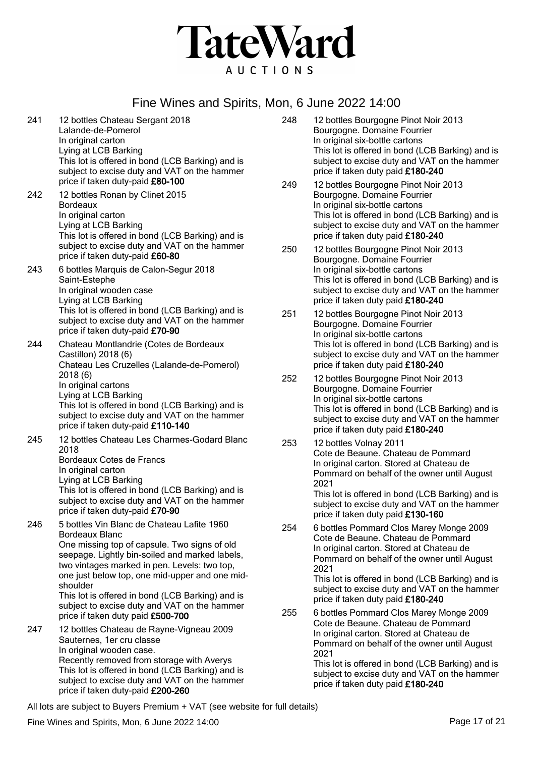

- 241 12 bottles Chateau Sergant 2018 Lalande-de-Pomerol In original carton Lying at LCB Barking This lot is offered in bond (LCB Barking) and is subject to excise duty and VAT on the hammer price if taken duty-paid £80-100 242 12 bottles Ronan by Clinet 2015
	- Bordeaux In original carton Lying at LCB Barking This lot is offered in bond (LCB Barking) and is subject to excise duty and VAT on the hammer price if taken duty-paid £60-80
- 243 6 bottles Marquis de Calon-Segur 2018 Saint-Estephe In original wooden case Lying at LCB Barking This lot is offered in bond (LCB Barking) and is subject to excise duty and VAT on the hammer price if taken duty-paid £70-90
- 244 Chateau Montlandrie (Cotes de Bordeaux Castillon) 2018 (6) Chateau Les Cruzelles (Lalande-de-Pomerol) 2018 (6) In original cartons Lying at LCB Barking This lot is offered in bond (LCB Barking) and is subject to excise duty and VAT on the hammer price if taken duty-paid £110-140
- 245 12 bottles Chateau Les Charmes-Godard Blanc 2018 Bordeaux Cotes de Francs In original carton Lying at LCB Barking This lot is offered in bond (LCB Barking) and is subject to excise duty and VAT on the hammer
- price if taken duty-paid £70-90 246 5 bottles Vin Blanc de Chateau Lafite 1960 Bordeaux Blanc One missing top of capsule. Two signs of old seepage. Lightly bin-soiled and marked labels, two vintages marked in pen. Levels: two top, one just below top, one mid-upper and one midshoulder This lot is offered in bond (LCB Barking) and is subject to excise duty and VAT on the hammer price if taken duty paid £500-700 247 12 bottles Chateau de Rayne-Vigneau 2009
- Sauternes, 1er cru classe In original wooden case. Recently removed from storage with Averys This lot is offered in bond (LCB Barking) and is subject to excise duty and VAT on the hammer price if taken duty-paid £200-260
- 248 12 bottles Bourgogne Pinot Noir 2013 Bourgogne. Domaine Fourrier In original six-bottle cartons This lot is offered in bond (LCB Barking) and is subject to excise duty and VAT on the hammer price if taken duty paid £180-240
- 249 12 bottles Bourgogne Pinot Noir 2013 Bourgogne. Domaine Fourrier In original six-bottle cartons This lot is offered in bond (LCB Barking) and is subject to excise duty and VAT on the hammer price if taken duty paid £180-240
- 250 12 bottles Bourgogne Pinot Noir 2013 Bourgogne. Domaine Fourrier In original six-bottle cartons This lot is offered in bond (LCB Barking) and is subject to excise duty and VAT on the hammer price if taken duty paid £180-240
- 251 12 bottles Bourgogne Pinot Noir 2013 Bourgogne. Domaine Fourrier In original six-bottle cartons This lot is offered in bond (LCB Barking) and is subject to excise duty and VAT on the hammer price if taken duty paid £180-240
- 252 12 bottles Bourgogne Pinot Noir 2013 Bourgogne. Domaine Fourrier In original six-bottle cartons This lot is offered in bond (LCB Barking) and is subject to excise duty and VAT on the hammer price if taken duty paid £180-240
- 253 12 bottles Volnay 2011 Cote de Beaune. Chateau de Pommard In original carton. Stored at Chateau de Pommard on behalf of the owner until August 2021 This lot is offered in bond (LCB Barking) and is

subject to excise duty and VAT on the hammer price if taken duty paid £130-160

254 6 bottles Pommard Clos Marey Monge 2009 Cote de Beaune. Chateau de Pommard In original carton. Stored at Chateau de Pommard on behalf of the owner until August 2021

This lot is offered in bond (LCB Barking) and is subject to excise duty and VAT on the hammer price if taken duty paid £180-240

255 6 bottles Pommard Clos Marey Monge 2009 Cote de Beaune. Chateau de Pommard In original carton. Stored at Chateau de Pommard on behalf of the owner until August 2021

This lot is offered in bond (LCB Barking) and is subject to excise duty and VAT on the hammer price if taken duty paid £180-240

All lots are subject to Buyers Premium + VAT (see website for full details)

Fine Wines and Spirits, Mon, 6 June 2022 14:00 **Page 17** of 21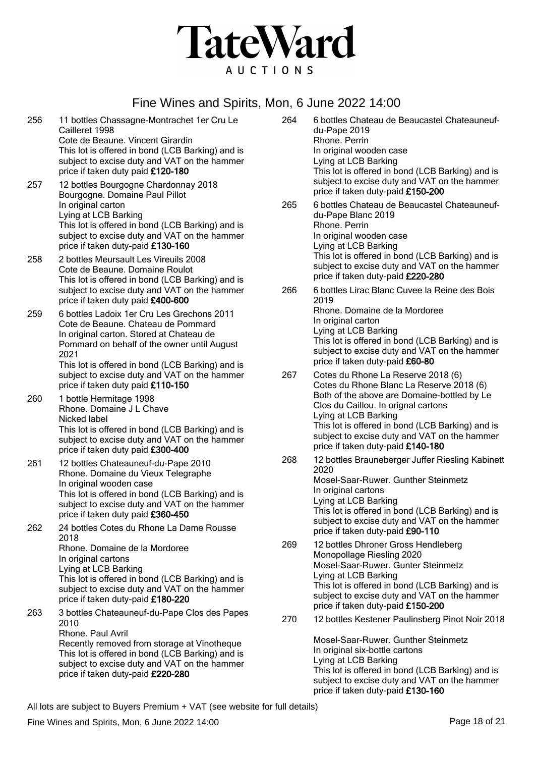

- 256 11 bottles Chassagne-Montrachet 1er Cru Le Cailleret 1998 Cote de Beaune. Vincent Girardin This lot is offered in bond (LCB Barking) and is subject to excise duty and VAT on the hammer price if taken duty paid £120-180
- 257 12 bottles Bourgogne Chardonnay 2018 Bourgogne. Domaine Paul Pillot In original carton Lying at LCB Barking This lot is offered in bond (LCB Barking) and is subject to excise duty and VAT on the hammer price if taken duty-paid £130-160
- 258 2 bottles Meursault Les Vireuils 2008 Cote de Beaune. Domaine Roulot This lot is offered in bond (LCB Barking) and is subject to excise duty and VAT on the hammer price if taken duty paid £400-600
- 259 6 bottles Ladoix 1er Cru Les Grechons 2011 Cote de Beaune. Chateau de Pommard In original carton. Stored at Chateau de Pommard on behalf of the owner until August 2021 This lot is offered in bond (LCB Barking) and is subject to excise duty and VAT on the hammer

price if taken duty paid £110-150 260 1 bottle Hermitage 1998 Rhone. Domaine J L Chave Nicked label This lot is offered in bond (LCB Barking) and is subject to excise duty and VAT on the hammer price if taken duty paid £300-400

- 261 12 bottles Chateauneuf-du-Pape 2010 Rhone. Domaine du Vieux Telegraphe In original wooden case This lot is offered in bond (LCB Barking) and is subject to excise duty and VAT on the hammer price if taken duty paid £360-450
- 262 24 bottles Cotes du Rhone La Dame Rousse 2018 Rhone. Domaine de la Mordoree In original cartons Lying at LCB Barking This lot is offered in bond (LCB Barking) and is subject to excise duty and VAT on the hammer price if taken duty-paid £180-220
- 263 3 bottles Chateauneuf-du-Pape Clos des Papes 2010 Rhone. Paul Avril Recently removed from storage at Vinotheque This lot is offered in bond (LCB Barking) and is subject to excise duty and VAT on the hammer price if taken duty-paid £220-280
- 264 6 bottles Chateau de Beaucastel Chateauneufdu-Pape 2019 Rhone. Perrin In original wooden case Lying at LCB Barking This lot is offered in bond (LCB Barking) and is subject to excise duty and VAT on the hammer price if taken duty-paid £150-200 265 6 bottles Chateau de Beaucastel Chateauneufdu-Pape Blanc 2019 Rhone. Perrin In original wooden case Lying at LCB Barking This lot is offered in bond (LCB Barking) and is subject to excise duty and VAT on the hammer price if taken duty-paid £220-280 266 6 bottles Lirac Blanc Cuvee la Reine des Bois
- 2019 Rhone. Domaine de la Mordoree In original carton Lying at LCB Barking This lot is offered in bond (LCB Barking) and is subject to excise duty and VAT on the hammer price if taken duty-paid £60-80
- 267 Cotes du Rhone La Reserve 2018 (6) Cotes du Rhone Blanc La Reserve 2018 (6) Both of the above are Domaine-bottled by Le Clos du Caillou. In orignal cartons Lying at LCB Barking This lot is offered in bond (LCB Barking) and is subject to excise duty and VAT on the hammer price if taken duty-paid £140-180
- 268 12 bottles Brauneberger Juffer Riesling Kabinett 2020 Mosel-Saar-Ruwer. Gunther Steinmetz In original cartons Lying at LCB Barking This lot is offered in bond (LCB Barking) and is subject to excise duty and VAT on the hammer price if taken duty-paid £90-110
- 269 12 bottles Dhroner Gross Hendleberg Monopollage Riesling 2020 Mosel-Saar-Ruwer. Gunter Steinmetz Lying at LCB Barking This lot is offered in bond (LCB Barking) and is subject to excise duty and VAT on the hammer price if taken duty-paid £150-200
- 270 12 bottles Kestener Paulinsberg Pinot Noir 2018

Mosel-Saar-Ruwer. Gunther Steinmetz In original six-bottle cartons Lying at LCB Barking This lot is offered in bond (LCB Barking) and is subject to excise duty and VAT on the hammer price if taken duty-paid £130-160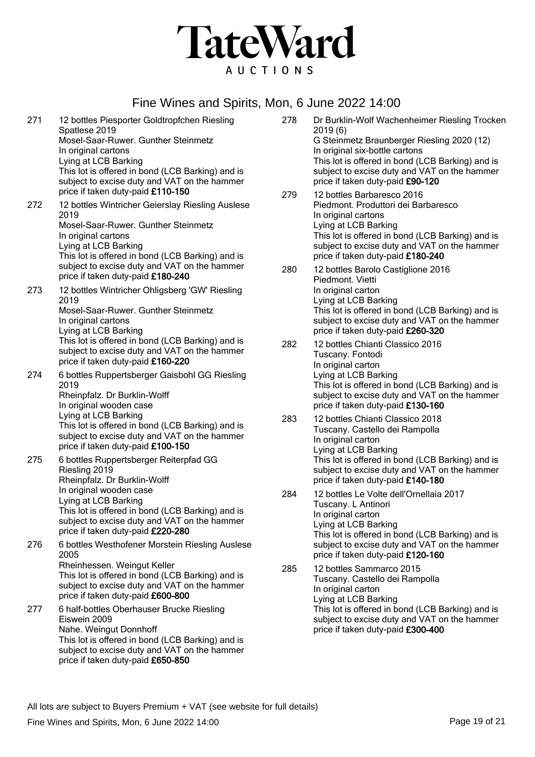

271 12 bottles Piesporter Goldtropfchen Riesling Spatlese 2019 Mosel-Saar-Ruwer. Gunther Steinmetz In original cartons Lying at LCB Barking This lot is offered in bond (LCB Barking) and is subject to excise duty and VAT on the hammer price if taken duty-paid £110-150 272 12 bottles Wintricher Geierslay Riesling Auslese 2019 Mosel-Saar-Ruwer. Gunther Steinmetz In original cartons Lying at LCB Barking This lot is offered in bond (LCB Barking) and is subject to excise duty and VAT on the hammer price if taken duty-paid £180-240 273 12 bottles Wintricher Ohligsberg 'GW' Riesling 2019 Mosel-Saar-Ruwer. Gunther Steinmetz In original cartons Lying at LCB Barking This lot is offered in bond (LCB Barking) and is subject to excise duty and VAT on the hammer price if taken duty-paid £160-220 274 6 bottles Ruppertsberger Gaisbohl GG Riesling 2019 Rheinpfalz. Dr Burklin-Wolff In original wooden case Lying at LCB Barking This lot is offered in bond (LCB Barking) and is subject to excise duty and VAT on the hammer price if taken duty-paid £100-150 275 6 bottles Ruppertsberger Reiterpfad GG Riesling 2019 Rheinpfalz. Dr Burklin-Wolff In original wooden case Lying at LCB Barking This lot is offered in bond (LCB Barking) and is subject to excise duty and VAT on the hammer price if taken duty-paid £220-280 276 6 bottles Westhofener Morstein Riesling Auslese 2005 Rheinhessen. Weingut Keller This lot is offered in bond (LCB Barking) and is subject to excise duty and VAT on the hammer price if taken duty-paid £600-800 277 6 half-bottles Oberhauser Brucke Riesling

Eiswein 2009 Nahe. Weingut Donnhoff This lot is offered in bond (LCB Barking) and is subject to excise duty and VAT on the hammer price if taken duty-paid £650-850

- 278 Dr Burklin-Wolf Wachenheimer Riesling Trocken 2019 (6) G Steinmetz Braunberger Riesling 2020 (12) In original six-bottle cartons This lot is offered in bond (LCB Barking) and is subject to excise duty and VAT on the hammer price if taken duty-paid £90-120
- 279 12 bottles Barbaresco 2016 Piedmont. Produttori dei Barbaresco In original cartons Lying at LCB Barking This lot is offered in bond (LCB Barking) and is subject to excise duty and VAT on the hammer price if taken duty-paid £180-240
- 280 12 bottles Barolo Castiglione 2016 Piedmont. Vietti In original carton Lying at LCB Barking This lot is offered in bond (LCB Barking) and is subject to excise duty and VAT on the hammer price if taken duty-paid £260-320
- 282 12 bottles Chianti Classico 2016 Tuscany. Fontodi In original carton Lying at LCB Barking This lot is offered in bond (LCB Barking) and is subject to excise duty and VAT on the hammer price if taken duty-paid £130-160
- 283 12 bottles Chianti Classico 2018 Tuscany. Castello dei Rampolla In original carton Lying at LCB Barking This lot is offered in bond (LCB Barking) and is subject to excise duty and VAT on the hammer price if taken duty-paid £140-180
- 284 12 bottles Le Volte dell'Ornellaia 2017 Tuscany. L Antinori In original carton Lying at LCB Barking This lot is offered in bond (LCB Barking) and is subject to excise duty and VAT on the hammer price if taken duty-paid £120-160
- 285 12 bottles Sammarco 2015 Tuscany. Castello dei Rampolla In original carton Lying at LCB Barking This lot is offered in bond (LCB Barking) and is subject to excise duty and VAT on the hammer price if taken duty-paid £300-400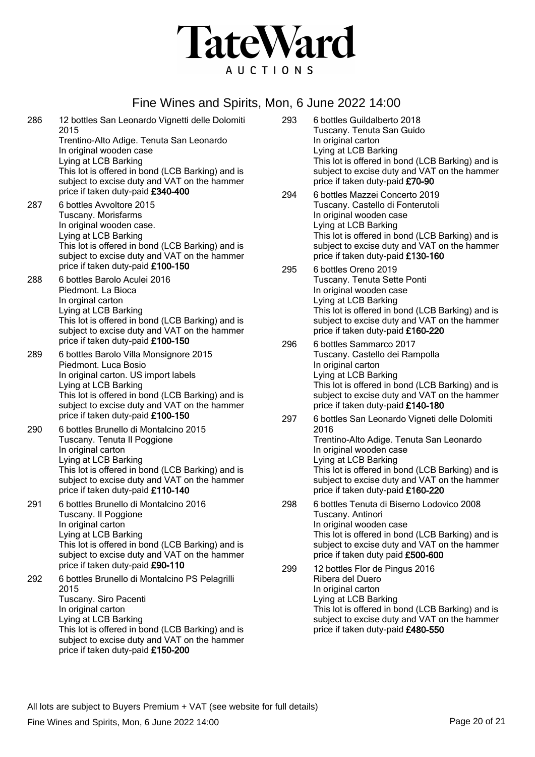

- 286 12 bottles San Leonardo Vignetti delle Dolomiti 2015 Trentino-Alto Adige. Tenuta San Leonardo In original wooden case Lying at LCB Barking This lot is offered in bond (LCB Barking) and is subject to excise duty and VAT on the hammer price if taken duty-paid £340-400 287 6 bottles Avvoltore 2015 Tuscany. Morisfarms In original wooden case. Lying at LCB Barking This lot is offered in bond (LCB Barking) and is subject to excise duty and VAT on the hammer price if taken duty-paid £100-150 288 6 bottles Barolo Aculei 2016 Piedmont. La Bioca In orginal carton Lying at LCB Barking This lot is offered in bond (LCB Barking) and is subject to excise duty and VAT on the hammer price if taken duty-paid £100-150 289 6 bottles Barolo Villa Monsignore 2015 Piedmont. Luca Bosio In original carton. US import labels Lying at LCB Barking This lot is offered in bond (LCB Barking) and is subject to excise duty and VAT on the hammer price if taken duty-paid £100-150 290 6 bottles Brunello di Montalcino 2015 Tuscany. Tenuta Il Poggione In original carton Lying at LCB Barking This lot is offered in bond (LCB Barking) and is subject to excise duty and VAT on the hammer price if taken duty-paid £110-140 291 6 bottles Brunello di Montalcino 2016 Tuscany. Il Poggione In original carton Lying at LCB Barking This lot is offered in bond (LCB Barking) and is subject to excise duty and VAT on the hammer price if taken duty-paid £90-110 292 6 bottles Brunello di Montalcino PS Pelagrilli 2015 Tuscany. Siro Pacenti In original carton Lying at LCB Barking This lot is offered in bond (LCB Barking) and is subject to excise duty and VAT on the hammer price if taken duty-paid £150-200
- 293 6 bottles Guildalberto 2018 Tuscany. Tenuta San Guido In original carton Lying at LCB Barking This lot is offered in bond (LCB Barking) and is subject to excise duty and VAT on the hammer price if taken duty-paid £70-90
- 294 6 bottles Mazzei Concerto 2019 Tuscany. Castello di Fonterutoli In original wooden case Lying at LCB Barking This lot is offered in bond (LCB Barking) and is subject to excise duty and VAT on the hammer price if taken duty-paid £130-160
- 295 6 bottles Oreno 2019 Tuscany. Tenuta Sette Ponti In original wooden case Lying at LCB Barking This lot is offered in bond (LCB Barking) and is subject to excise duty and VAT on the hammer price if taken duty-paid £160-220
- 296 6 bottles Sammarco 2017 Tuscany. Castello dei Rampolla In original carton Lying at LCB Barking This lot is offered in bond (LCB Barking) and is subject to excise duty and VAT on the hammer price if taken duty-paid £140-180
- 297 6 bottles San Leonardo Vigneti delle Dolomiti 2016 Trentino-Alto Adige. Tenuta San Leonardo In original wooden case Lying at LCB Barking This lot is offered in bond (LCB Barking) and is subject to excise duty and VAT on the hammer price if taken duty-paid £160-220
- 298 6 bottles Tenuta di Biserno Lodovico 2008 Tuscany. Antinori In original wooden case This lot is offered in bond (LCB Barking) and is subject to excise duty and VAT on the hammer price if taken duty paid £500-600
- 299 12 bottles Flor de Pingus 2016 Ribera del Duero In original carton Lying at LCB Barking This lot is offered in bond (LCB Barking) and is subject to excise duty and VAT on the hammer price if taken duty-paid £480-550